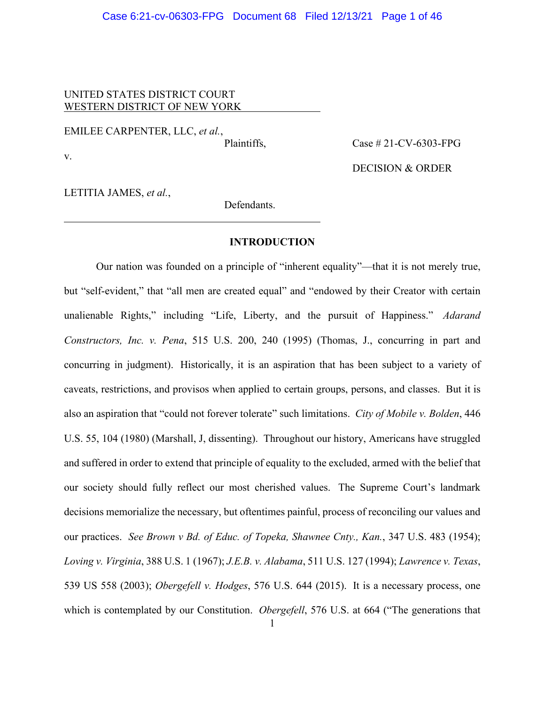## Case 6:21-cv-06303-FPG Document 68 Filed 12/13/21 Page 1 of 46

# UNITED STATES DISTRICT COURT WESTERN DISTRICT OF NEW YORK

EMILEE CARPENTER, LLC, *et al.*,

Plaintiffs. Case # 21-CV-6303-FPG

v.

DECISION & ORDER

LETITIA JAMES, *et al.*,

Defendants.

### **INTRODUCTION**

Our nation was founded on a principle of "inherent equality"—that it is not merely true, but "self-evident," that "all men are created equal" and "endowed by their Creator with certain unalienable Rights," including "Life, Liberty, and the pursuit of Happiness." *Adarand Constructors, Inc. v. Pena*, 515 U.S. 200, 240 (1995) (Thomas, J., concurring in part and concurring in judgment). Historically, it is an aspiration that has been subject to a variety of caveats, restrictions, and provisos when applied to certain groups, persons, and classes. But it is also an aspiration that "could not forever tolerate" such limitations. *City of Mobile v. Bolden*, 446 U.S. 55, 104 (1980) (Marshall, J, dissenting). Throughout our history, Americans have struggled and suffered in order to extend that principle of equality to the excluded, armed with the belief that our society should fully reflect our most cherished values. The Supreme Court's landmark decisions memorialize the necessary, but oftentimes painful, process of reconciling our values and our practices. *See Brown v Bd. of Educ. of Topeka, Shawnee Cnty., Kan.*, 347 U.S. 483 (1954); *Loving v. Virginia*, 388 U.S. 1 (1967); *J.E.B. v. Alabama*, 511 U.S. 127 (1994); *Lawrence v. Texas*, 539 US 558 (2003); *Obergefell v. Hodges*, 576 U.S. 644 (2015). It is a necessary process, one which is contemplated by our Constitution. *Obergefell*, 576 U.S. at 664 ("The generations that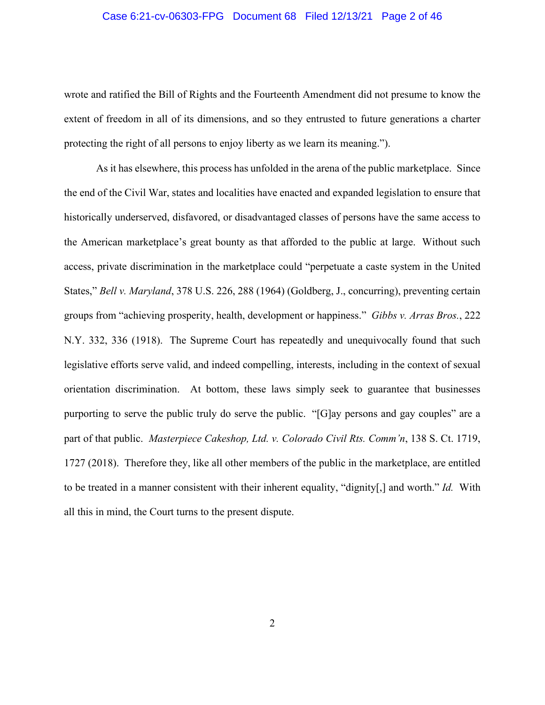### Case 6:21-cv-06303-FPG Document 68 Filed 12/13/21 Page 2 of 46

wrote and ratified the Bill of Rights and the Fourteenth Amendment did not presume to know the extent of freedom in all of its dimensions, and so they entrusted to future generations a charter protecting the right of all persons to enjoy liberty as we learn its meaning.").

As it has elsewhere, this process has unfolded in the arena of the public marketplace. Since the end of the Civil War, states and localities have enacted and expanded legislation to ensure that historically underserved, disfavored, or disadvantaged classes of persons have the same access to the American marketplace's great bounty as that afforded to the public at large. Without such access, private discrimination in the marketplace could "perpetuate a caste system in the United States," *Bell v. Maryland*, 378 U.S. 226, 288 (1964) (Goldberg, J., concurring), preventing certain groups from "achieving prosperity, health, development or happiness." *Gibbs v. Arras Bros.*, 222 N.Y. 332, 336 (1918). The Supreme Court has repeatedly and unequivocally found that such legislative efforts serve valid, and indeed compelling, interests, including in the context of sexual orientation discrimination. At bottom, these laws simply seek to guarantee that businesses purporting to serve the public truly do serve the public. "[G]ay persons and gay couples" are a part of that public. *Masterpiece Cakeshop, Ltd. v. Colorado Civil Rts. Comm'n*, 138 S. Ct. 1719, 1727 (2018). Therefore they, like all other members of the public in the marketplace, are entitled to be treated in a manner consistent with their inherent equality, "dignity[,] and worth." *Id.* With all this in mind, the Court turns to the present dispute.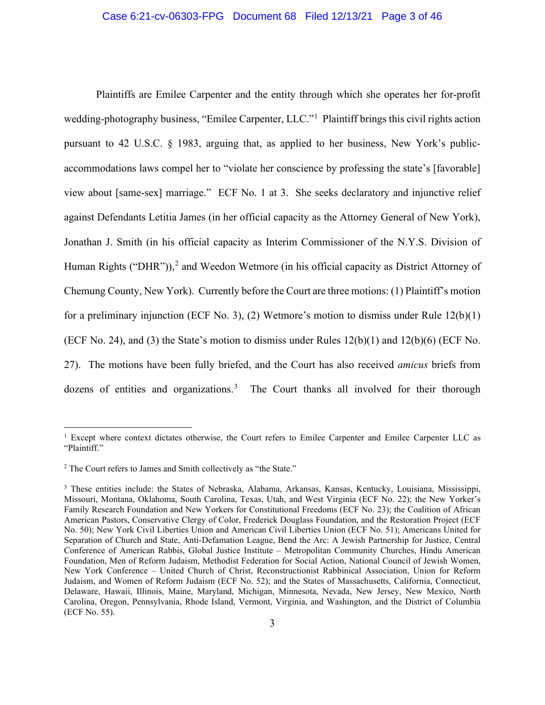### Case 6:21-cv-06303-FPG Document 68 Filed 12/13/21 Page 3 of 46

Plaintiffs are Emilee Carpenter and the entity through which she operates her for-profit wedding-photography business, "Emilee Carpenter, LLC."<sup>[1](#page-2-0)</sup> Plaintiff brings this civil rights action pursuant to 42 U.S.C. § 1983, arguing that, as applied to her business, New York's publicaccommodations laws compel her to "violate her conscience by professing the state's [favorable] view about [same-sex] marriage." ECF No. 1 at 3. She seeks declaratory and injunctive relief against Defendants Letitia James (in her official capacity as the Attorney General of New York), Jonathan J. Smith (in his official capacity as Interim Commissioner of the N.Y.S. Division of Human Rights ("DHR")),<sup>[2](#page-2-1)</sup> and Weedon Wetmore (in his official capacity as District Attorney of Chemung County, New York). Currently before the Court are three motions: (1) Plaintiff's motion for a preliminary injunction (ECF No. 3), (2) Wetmore's motion to dismiss under Rule 12(b)(1) (ECF No. 24), and (3) the State's motion to dismiss under Rules  $12(b)(1)$  and  $12(b)(6)$  (ECF No. 27). The motions have been fully briefed, and the Court has also received *amicus* briefs from dozens of entities and organizations.<sup>[3](#page-2-2)</sup> The Court thanks all involved for their thorough

<span id="page-2-0"></span><sup>&</sup>lt;sup>1</sup> Except where context dictates otherwise, the Court refers to Emilee Carpenter and Emilee Carpenter LLC as "Plaintiff."

<span id="page-2-1"></span><sup>2</sup> The Court refers to James and Smith collectively as "the State."

<span id="page-2-2"></span><sup>3</sup> These entities include: the States of Nebraska, Alabama, Arkansas, Kansas, Kentucky, Louisiana, Mississippi, Missouri, Montana, Oklahoma, South Carolina, Texas, Utah, and West Virginia (ECF No. 22); the New Yorker's Family Research Foundation and New Yorkers for Constitutional Freedoms (ECF No. 23); the Coalition of African American Pastors, Conservative Clergy of Color, Frederick Douglass Foundation, and the Restoration Project (ECF No. 50); New York Civil Liberties Union and American Civil Liberties Union (ECF No. 51); Americans United for Separation of Church and State, Anti-Defamation League, Bend the Arc: A Jewish Partnership for Justice, Central Conference of American Rabbis, Global Justice Institute – Metropolitan Community Churches, Hindu American Foundation, Men of Reform Judaism, Methodist Federation for Social Action, National Council of Jewish Women, New York Conference – United Church of Christ, Reconstructionist Rabbinical Association, Union for Reform Judaism, and Women of Reform Judaism (ECF No. 52); and the States of Massachusetts, California, Connecticut, Delaware, Hawaii, Illinois, Maine, Maryland, Michigan, Minnesota, Nevada, New Jersey, New Mexico, North Carolina, Oregon, Pennsylvania, Rhode Island, Vermont, Virginia, and Washington, and the District of Columbia (ECF No. 55).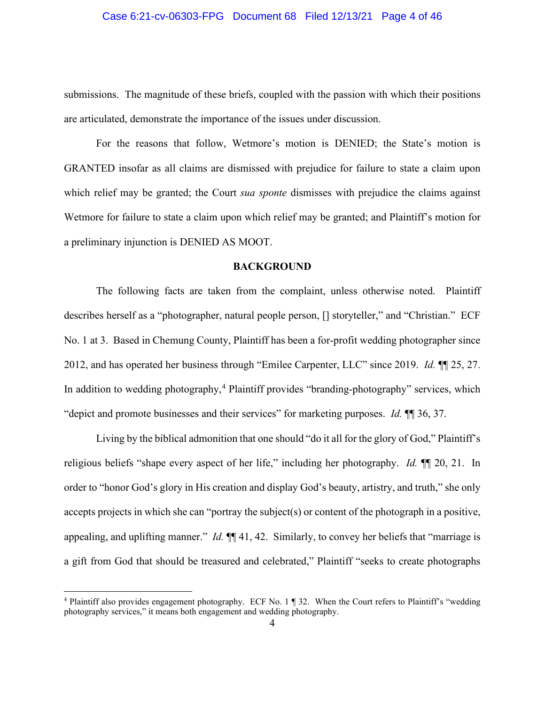### Case 6:21-cv-06303-FPG Document 68 Filed 12/13/21 Page 4 of 46

submissions. The magnitude of these briefs, coupled with the passion with which their positions are articulated, demonstrate the importance of the issues under discussion.

For the reasons that follow, Wetmore's motion is DENIED; the State's motion is GRANTED insofar as all claims are dismissed with prejudice for failure to state a claim upon which relief may be granted; the Court *sua sponte* dismisses with prejudice the claims against Wetmore for failure to state a claim upon which relief may be granted; and Plaintiff's motion for a preliminary injunction is DENIED AS MOOT.

### **BACKGROUND**

The following facts are taken from the complaint, unless otherwise noted. Plaintiff describes herself as a "photographer, natural people person, [] storyteller," and "Christian." ECF No. 1 at 3. Based in Chemung County, Plaintiff has been a for-profit wedding photographer since 2012, and has operated her business through "Emilee Carpenter, LLC" since 2019. *Id.* ¶¶ 25, 27. In addition to wedding photography,  $4$  Plaintiff provides "branding-photography" services, which "depict and promote businesses and their services" for marketing purposes. *Id.* ¶¶ 36, 37.

Living by the biblical admonition that one should "do it all for the glory of God," Plaintiff's religious beliefs "shape every aspect of her life," including her photography. *Id.* ¶¶ 20, 21. In order to "honor God's glory in His creation and display God's beauty, artistry, and truth," she only accepts projects in which she can "portray the subject(s) or content of the photograph in a positive, appealing, and uplifting manner." *Id.* ¶¶ 41, 42. Similarly, to convey her beliefs that "marriage is a gift from God that should be treasured and celebrated," Plaintiff "seeks to create photographs

<span id="page-3-0"></span><sup>4</sup> Plaintiff also provides engagement photography. ECF No. 1 ¶ 32. When the Court refers to Plaintiff's "wedding photography services," it means both engagement and wedding photography.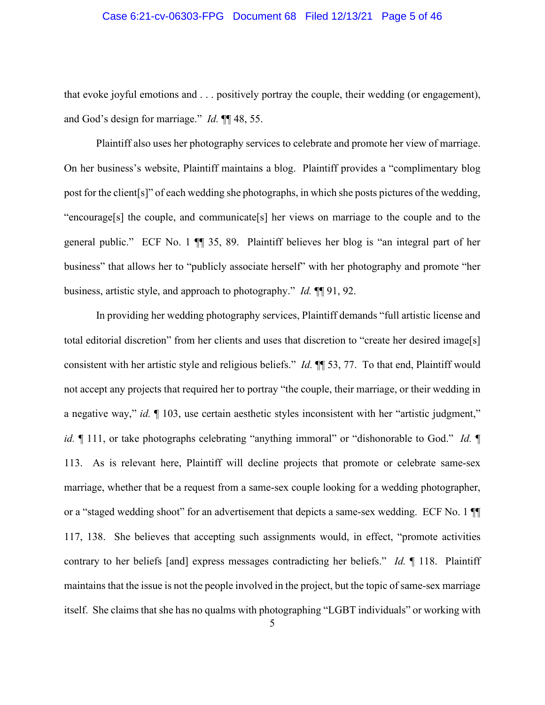### Case 6:21-cv-06303-FPG Document 68 Filed 12/13/21 Page 5 of 46

that evoke joyful emotions and . . . positively portray the couple, their wedding (or engagement), and God's design for marriage." *Id.* ¶¶ 48, 55.

Plaintiff also uses her photography services to celebrate and promote her view of marriage. On her business's website, Plaintiff maintains a blog. Plaintiff provides a "complimentary blog post for the client[s]" of each wedding she photographs, in which she posts pictures of the wedding, "encourage[s] the couple, and communicate[s] her views on marriage to the couple and to the general public." ECF No. 1 ¶¶ 35, 89. Plaintiff believes her blog is "an integral part of her business" that allows her to "publicly associate herself" with her photography and promote "her business, artistic style, and approach to photography." *Id.* ¶¶ 91, 92.

In providing her wedding photography services, Plaintiff demands "full artistic license and total editorial discretion" from her clients and uses that discretion to "create her desired image[s] consistent with her artistic style and religious beliefs." *Id.* ¶¶ 53, 77. To that end, Plaintiff would not accept any projects that required her to portray "the couple, their marriage, or their wedding in a negative way," *id.* ¶ 103, use certain aesthetic styles inconsistent with her "artistic judgment," *id.*  $\blacksquare$  111, or take photographs celebrating "anything immoral" or "dishonorable to God." *Id.*  $\blacksquare$ 113. As is relevant here, Plaintiff will decline projects that promote or celebrate same-sex marriage, whether that be a request from a same-sex couple looking for a wedding photographer, or a "staged wedding shoot" for an advertisement that depicts a same-sex wedding. ECF No. 1 ¶¶ 117, 138.She believes that accepting such assignments would, in effect, "promote activities contrary to her beliefs [and] express messages contradicting her beliefs." *Id.* ¶ 118. Plaintiff maintains that the issue is not the people involved in the project, but the topic of same-sex marriage itself. She claims that she has no qualms with photographing "LGBT individuals" or working with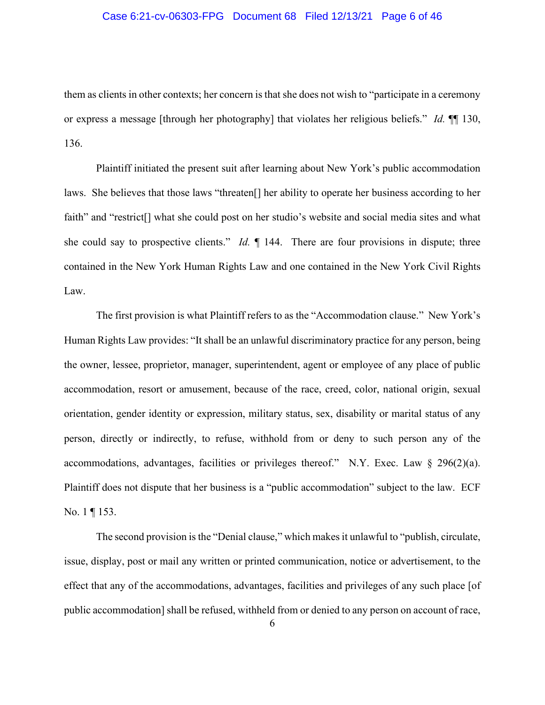## Case 6:21-cv-06303-FPG Document 68 Filed 12/13/21 Page 6 of 46

them as clients in other contexts; her concern is that she does not wish to "participate in a ceremony or express a message [through her photography] that violates her religious beliefs." *Id.* ¶¶ 130, 136.

Plaintiff initiated the present suit after learning about New York's public accommodation laws. She believes that those laws "threaten[] her ability to operate her business according to her faith" and "restrict<sup>[]</sup> what she could post on her studio's website and social media sites and what she could say to prospective clients." *Id.* ¶ 144. There are four provisions in dispute; three contained in the New York Human Rights Law and one contained in the New York Civil Rights Law.

The first provision is what Plaintiff refers to as the "Accommodation clause." New York's Human Rights Law provides: "It shall be an unlawful discriminatory practice for any person, being the owner, lessee, proprietor, manager, superintendent, agent or employee of any place of public accommodation, resort or amusement, because of the race, creed, color, national origin, sexual orientation, gender identity or expression, military status, sex, disability or marital status of any person, directly or indirectly, to refuse, withhold from or deny to such person any of the accommodations, advantages, facilities or privileges thereof." N.Y. Exec. Law § 296(2)(a). Plaintiff does not dispute that her business is a "public accommodation" subject to the law. ECF No. 1 ¶ 153.

The second provision is the "Denial clause," which makes it unlawful to "publish, circulate, issue, display, post or mail any written or printed communication, notice or advertisement, to the effect that any of the accommodations, advantages, facilities and privileges of any such place [of public accommodation] shall be refused, withheld from or denied to any person on account of race,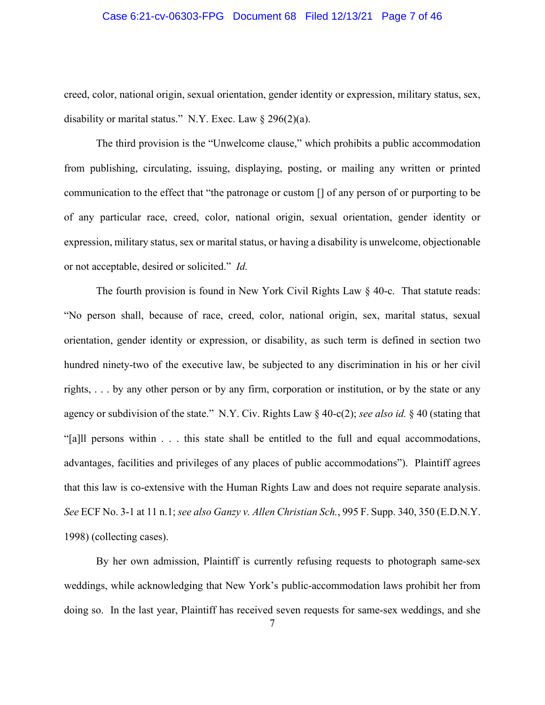## Case 6:21-cv-06303-FPG Document 68 Filed 12/13/21 Page 7 of 46

creed, color, national origin, sexual orientation, gender identity or expression, military status, sex, disability or marital status." N.Y. Exec. Law  $\S 296(2)(a)$ .

The third provision is the "Unwelcome clause," which prohibits a public accommodation from publishing, circulating, issuing, displaying, posting, or mailing any written or printed communication to the effect that "the patronage or custom [] of any person of or purporting to be of any particular race, creed, color, national origin, sexual orientation, gender identity or expression, military status, sex or marital status, or having a disability is unwelcome, objectionable or not acceptable, desired or solicited." *Id.*

The fourth provision is found in New York Civil Rights Law § 40-c. That statute reads: "No person shall, because of race, creed, color, national origin, sex, marital status, sexual orientation, gender identity or expression, or disability, as such term is defined in section two hundred ninety-two of the executive law, be subjected to any discrimination in his or her civil rights, . . . by any other person or by any firm, corporation or institution, or by the state or any agency or subdivision of the state." N.Y. Civ. Rights Law § 40-c(2); *see also id.* § 40 (stating that "[a]ll persons within . . . this state shall be entitled to the full and equal accommodations, advantages, facilities and privileges of any places of public accommodations"). Plaintiff agrees that this law is co-extensive with the Human Rights Law and does not require separate analysis. *See* ECF No. 3-1 at 11 n.1; *see also Ganzy v. Allen Christian Sch.*, 995 F. Supp. 340, 350 (E.D.N.Y. 1998) (collecting cases).

By her own admission, Plaintiff is currently refusing requests to photograph same-sex weddings, while acknowledging that New York's public-accommodation laws prohibit her from doing so. In the last year, Plaintiff has received seven requests for same-sex weddings, and she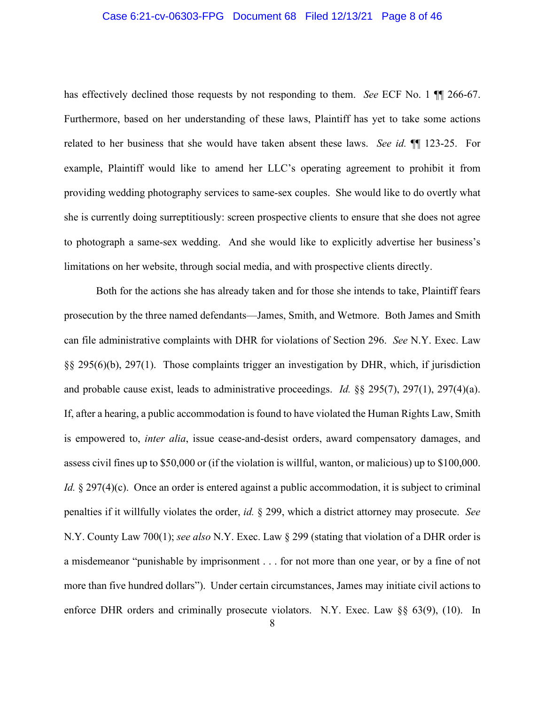### Case 6:21-cv-06303-FPG Document 68 Filed 12/13/21 Page 8 of 46

has effectively declined those requests by not responding to them. *See* ECF No. 1 ¶¶ 266-67. Furthermore, based on her understanding of these laws, Plaintiff has yet to take some actions related to her business that she would have taken absent these laws. *See id.* ¶¶ 123-25. For example, Plaintiff would like to amend her LLC's operating agreement to prohibit it from providing wedding photography services to same-sex couples. She would like to do overtly what she is currently doing surreptitiously: screen prospective clients to ensure that she does not agree to photograph a same-sex wedding. And she would like to explicitly advertise her business's limitations on her website, through social media, and with prospective clients directly.

Both for the actions she has already taken and for those she intends to take, Plaintiff fears prosecution by the three named defendants—James, Smith, and Wetmore. Both James and Smith can file administrative complaints with DHR for violations of Section 296. *See* N.Y. Exec. Law §§ 295(6)(b), 297(1). Those complaints trigger an investigation by DHR, which, if jurisdiction and probable cause exist, leads to administrative proceedings. *Id.* §§ 295(7), 297(1), 297(4)(a). If, after a hearing, a public accommodation is found to have violated the Human Rights Law, Smith is empowered to, *inter alia*, issue cease-and-desist orders, award compensatory damages, and assess civil fines up to \$50,000 or (if the violation is willful, wanton, or malicious) up to \$100,000. *Id.* § 297(4)(c). Once an order is entered against a public accommodation, it is subject to criminal penalties if it willfully violates the order, *id.* § 299, which a district attorney may prosecute. *See*  N.Y. County Law 700(1); *see also* N.Y. Exec. Law § 299 (stating that violation of a DHR order is a misdemeanor "punishable by imprisonment . . . for not more than one year, or by a fine of not more than five hundred dollars"). Under certain circumstances, James may initiate civil actions to enforce DHR orders and criminally prosecute violators. N.Y. Exec. Law §§ 63(9), (10). In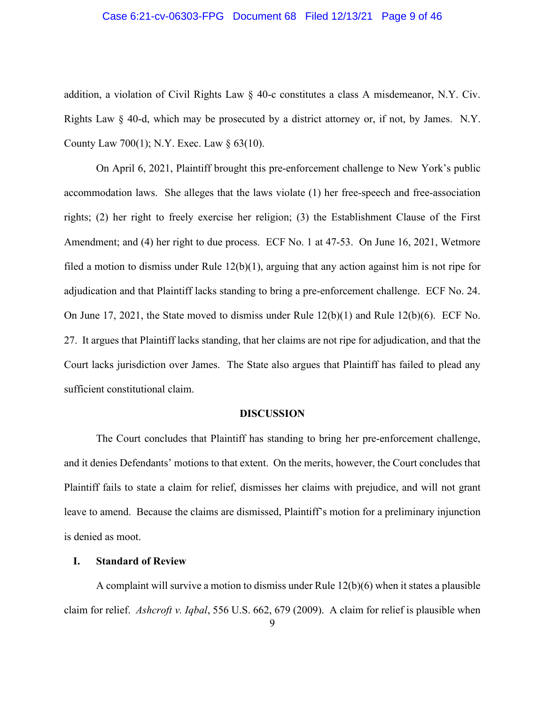## Case 6:21-cv-06303-FPG Document 68 Filed 12/13/21 Page 9 of 46

addition, a violation of Civil Rights Law  $\S$  40-c constitutes a class A misdemeanor, N.Y. Civ. Rights Law § 40-d, which may be prosecuted by a district attorney or, if not, by James. N.Y. County Law 700(1); N.Y. Exec. Law § 63(10).

On April 6, 2021, Plaintiff brought this pre-enforcement challenge to New York's public accommodation laws. She alleges that the laws violate (1) her free-speech and free-association rights; (2) her right to freely exercise her religion; (3) the Establishment Clause of the First Amendment; and (4) her right to due process. ECF No. 1 at 47-53. On June 16, 2021, Wetmore filed a motion to dismiss under Rule 12(b)(1), arguing that any action against him is not ripe for adjudication and that Plaintiff lacks standing to bring a pre-enforcement challenge. ECF No. 24. On June 17, 2021, the State moved to dismiss under Rule 12(b)(1) and Rule 12(b)(6). ECF No. 27. It argues that Plaintiff lacks standing, that her claims are not ripe for adjudication, and that the Court lacks jurisdiction over James. The State also argues that Plaintiff has failed to plead any sufficient constitutional claim.

#### **DISCUSSION**

The Court concludes that Plaintiff has standing to bring her pre-enforcement challenge, and it denies Defendants' motions to that extent. On the merits, however, the Court concludes that Plaintiff fails to state a claim for relief, dismisses her claims with prejudice, and will not grant leave to amend. Because the claims are dismissed, Plaintiff's motion for a preliminary injunction is denied as moot.

# **I. Standard of Review**

A complaint will survive a motion to dismiss under Rule 12(b)(6) when it states a plausible claim for relief. *Ashcroft v. Iqbal*, 556 U.S. 662, 679 (2009). A claim for relief is plausible when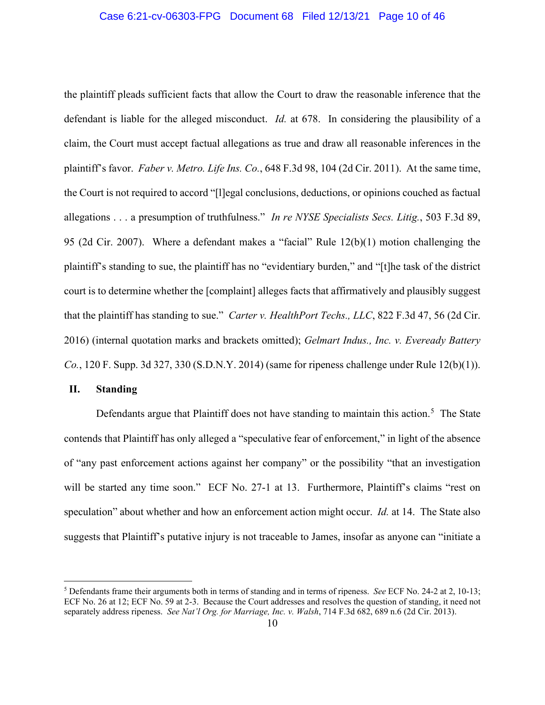### Case 6:21-cv-06303-FPG Document 68 Filed 12/13/21 Page 10 of 46

the plaintiff pleads sufficient facts that allow the Court to draw the reasonable inference that the defendant is liable for the alleged misconduct. *Id.* at 678. In considering the plausibility of a claim, the Court must accept factual allegations as true and draw all reasonable inferences in the plaintiff's favor. *Faber v. Metro. Life Ins. Co.*, 648 F.3d 98, 104 (2d Cir. 2011). At the same time, the Court is not required to accord "[l]egal conclusions, deductions, or opinions couched as factual allegations . . . a presumption of truthfulness." *In re NYSE Specialists Secs. Litig.*, 503 F.3d 89, 95 (2d Cir. 2007). Where a defendant makes a "facial" Rule 12(b)(1) motion challenging the plaintiff's standing to sue, the plaintiff has no "evidentiary burden," and "[t]he task of the district court is to determine whether the [complaint] alleges facts that affirmatively and plausibly suggest that the plaintiff has standing to sue." *Carter v. HealthPort Techs., LLC*, 822 F.3d 47, 56 (2d Cir. 2016) (internal quotation marks and brackets omitted); *Gelmart Indus., Inc. v. Eveready Battery Co.*, 120 F. Supp. 3d 327, 330 (S.D.N.Y. 2014) (same for ripeness challenge under Rule 12(b)(1)).

# **II. Standing**

Defendants argue that Plaintiff does not have standing to maintain this action.<sup>[5](#page-9-0)</sup> The State contends that Plaintiff has only alleged a "speculative fear of enforcement," in light of the absence of "any past enforcement actions against her company" or the possibility "that an investigation will be started any time soon." ECF No. 27-1 at 13. Furthermore, Plaintiff's claims "rest on speculation" about whether and how an enforcement action might occur. *Id.* at 14. The State also suggests that Plaintiff's putative injury is not traceable to James, insofar as anyone can "initiate a

<span id="page-9-0"></span><sup>5</sup> Defendants frame their arguments both in terms of standing and in terms of ripeness. *See* ECF No. 24-2 at 2, 10-13; ECF No. 26 at 12; ECF No. 59 at 2-3. Because the Court addresses and resolves the question of standing, it need not separately address ripeness. *See Nat'l Org. for Marriage, Inc. v. Walsh*, 714 F.3d 682, 689 n.6 (2d Cir. 2013).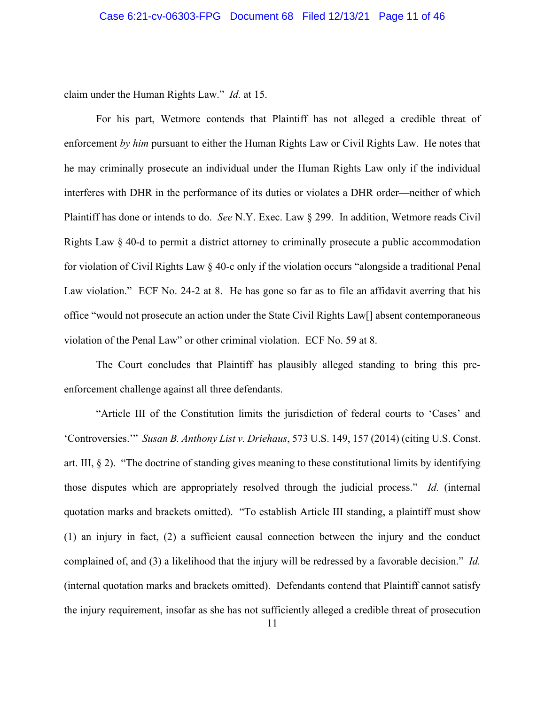claim under the Human Rights Law." *Id.* at 15.

For his part, Wetmore contends that Plaintiff has not alleged a credible threat of enforcement *by him* pursuant to either the Human Rights Law or Civil Rights Law. He notes that he may criminally prosecute an individual under the Human Rights Law only if the individual interferes with DHR in the performance of its duties or violates a DHR order—neither of which Plaintiff has done or intends to do. *See* N.Y. Exec. Law § 299. In addition, Wetmore reads Civil Rights Law § 40-d to permit a district attorney to criminally prosecute a public accommodation for violation of Civil Rights Law § 40-c only if the violation occurs "alongside a traditional Penal Law violation." ECF No. 24-2 at 8. He has gone so far as to file an affidavit averring that his office "would not prosecute an action under the State Civil Rights Law[] absent contemporaneous violation of the Penal Law" or other criminal violation. ECF No. 59 at 8.

The Court concludes that Plaintiff has plausibly alleged standing to bring this preenforcement challenge against all three defendants.

"Article III of the Constitution limits the jurisdiction of federal courts to 'Cases' and 'Controversies.'" *Susan B. Anthony List v. Driehaus*, 573 U.S. 149, 157 (2014) (citing U.S. Const. art. III, § 2). "The doctrine of standing gives meaning to these constitutional limits by identifying those disputes which are appropriately resolved through the judicial process." *Id.* (internal quotation marks and brackets omitted). "To establish Article III standing, a plaintiff must show (1) an injury in fact, (2) a sufficient causal connection between the injury and the conduct complained of, and (3) a likelihood that the injury will be redressed by a favorable decision." *Id.* (internal quotation marks and brackets omitted). Defendants contend that Plaintiff cannot satisfy the injury requirement, insofar as she has not sufficiently alleged a credible threat of prosecution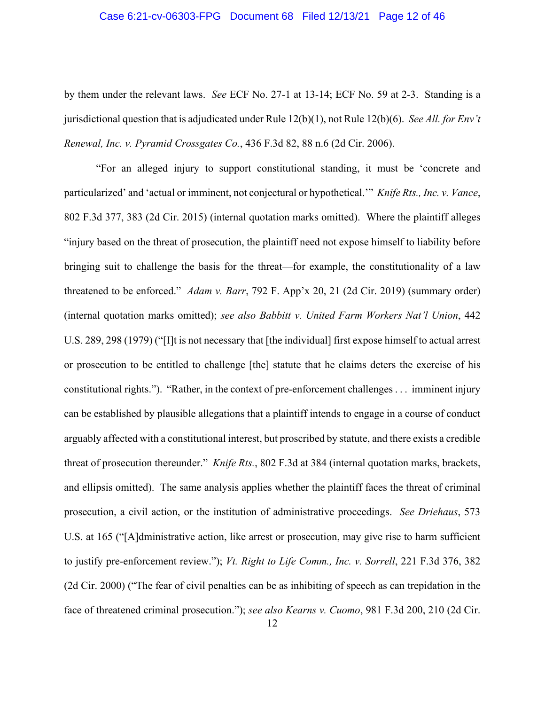### Case 6:21-cv-06303-FPG Document 68 Filed 12/13/21 Page 12 of 46

by them under the relevant laws. *See* ECF No. 27-1 at 13-14; ECF No. 59 at 2-3. Standing is a jurisdictional question that is adjudicated under Rule 12(b)(1), not Rule 12(b)(6). *See All. for Env't Renewal, Inc. v. Pyramid Crossgates Co.*, 436 F.3d 82, 88 n.6 (2d Cir. 2006).

"For an alleged injury to support constitutional standing, it must be 'concrete and particularized' and 'actual or imminent, not conjectural or hypothetical.'" *Knife Rts., Inc. v. Vance*, 802 F.3d 377, 383 (2d Cir. 2015) (internal quotation marks omitted). Where the plaintiff alleges "injury based on the threat of prosecution, the plaintiff need not expose himself to liability before bringing suit to challenge the basis for the threat—for example, the constitutionality of a law threatened to be enforced." *Adam v. Barr*, 792 F. App'x 20, 21 (2d Cir. 2019) (summary order) (internal quotation marks omitted); *see also Babbitt v. United Farm Workers Nat'l Union*, 442 U.S. 289, 298 (1979) ("[I]t is not necessary that [the individual] first expose himself to actual arrest or prosecution to be entitled to challenge [the] statute that he claims deters the exercise of his constitutional rights."). "Rather, in the context of pre-enforcement challenges . . . imminent injury can be established by plausible allegations that a plaintiff intends to engage in a course of conduct arguably affected with a constitutional interest, but proscribed by statute, and there exists a credible threat of prosecution thereunder." *Knife Rts.*, 802 F.3d at 384 (internal quotation marks, brackets, and ellipsis omitted). The same analysis applies whether the plaintiff faces the threat of criminal prosecution, a civil action, or the institution of administrative proceedings. *See Driehaus*, 573 U.S. at 165 ("[A]dministrative action, like arrest or prosecution, may give rise to harm sufficient to justify pre-enforcement review."); *Vt. Right to Life Comm., Inc. v. Sorrell*, 221 F.3d 376, 382 (2d Cir. 2000) ("The fear of civil penalties can be as inhibiting of speech as can trepidation in the face of threatened criminal prosecution."); *see also Kearns v. Cuomo*, 981 F.3d 200, 210 (2d Cir.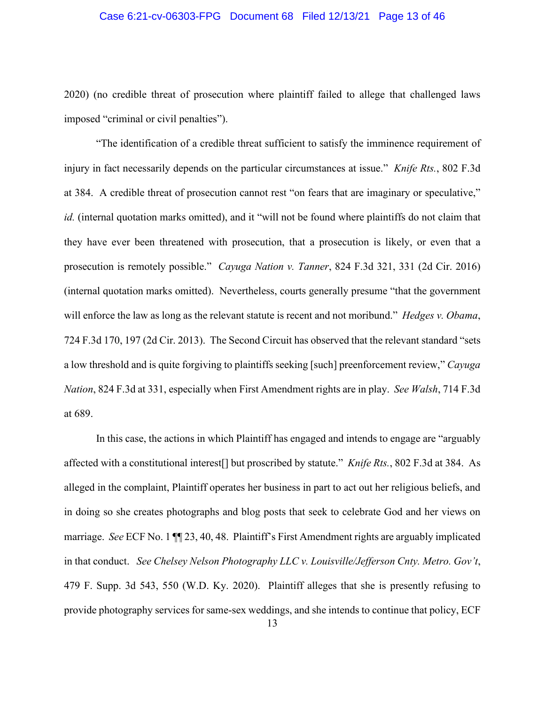## Case 6:21-cv-06303-FPG Document 68 Filed 12/13/21 Page 13 of 46

2020) (no credible threat of prosecution where plaintiff failed to allege that challenged laws imposed "criminal or civil penalties").

"The identification of a credible threat sufficient to satisfy the imminence requirement of injury in fact necessarily depends on the particular circumstances at issue." *Knife Rts.*, 802 F.3d at 384.A credible threat of prosecution cannot rest "on fears that are imaginary or speculative," *id.* (internal quotation marks omitted), and it "will not be found where plaintiffs do not claim that they have ever been threatened with prosecution, that a prosecution is likely, or even that a prosecution is remotely possible." *Cayuga Nation v. Tanner*, 824 F.3d 321, 331 (2d Cir. 2016) (internal quotation marks omitted). Nevertheless, courts generally presume "that the government will enforce the law as long as the relevant statute is recent and not moribund." *Hedges v. Obama*, 724 F.3d 170, 197 (2d Cir. 2013). The Second Circuit has observed that the relevant standard "sets a low threshold and is quite forgiving to plaintiffs seeking [such] preenforcement review," *Cayuga Nation*, 824 F.3d at 331, especially when First Amendment rights are in play. *See Walsh*, 714 F.3d at 689.

In this case, the actions in which Plaintiff has engaged and intends to engage are "arguably affected with a constitutional interest[] but proscribed by statute." *Knife Rts.*, 802 F.3d at 384. As alleged in the complaint, Plaintiff operates her business in part to act out her religious beliefs, and in doing so she creates photographs and blog posts that seek to celebrate God and her views on marriage. *See* ECF No. 1 ¶¶ 23, 40, 48. Plaintiff's First Amendment rights are arguably implicated in that conduct. *See Chelsey Nelson Photography LLC v. Louisville/Jefferson Cnty. Metro. Gov't*, 479 F. Supp. 3d 543, 550 (W.D. Ky. 2020). Plaintiff alleges that she is presently refusing to provide photography services for same-sex weddings, and she intends to continue that policy, ECF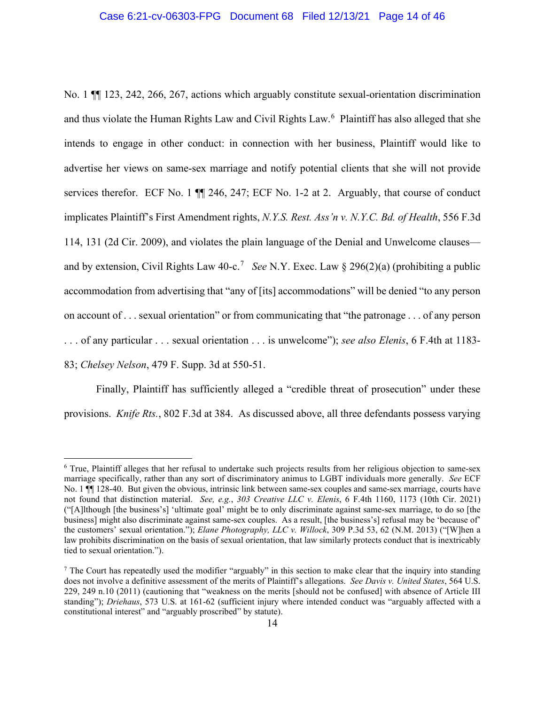### Case 6:21-cv-06303-FPG Document 68 Filed 12/13/21 Page 14 of 46

No. 1 ¶¶ 123, 242, 266, 267, actions which arguably constitute sexual-orientation discrimination and thus violate the Human Rights Law and Civil Rights Law. [6](#page-13-0) Plaintiff has also alleged that she intends to engage in other conduct: in connection with her business, Plaintiff would like to advertise her views on same-sex marriage and notify potential clients that she will not provide services therefor. ECF No. 1  $\P$  246, 247; ECF No. 1-2 at 2. Arguably, that course of conduct implicates Plaintiff's First Amendment rights, *N.Y.S. Rest. Ass'n v. N.Y.C. Bd. of Health*, 556 F.3d 114, 131 (2d Cir. 2009), and violates the plain language of the Denial and Unwelcome clauses— and by extension, Civil Rights Law 40-c.<sup>[7](#page-13-1)</sup> See N.Y. Exec. Law § 296(2)(a) (prohibiting a public accommodation from advertising that "any of [its] accommodations" will be denied "to any person on account of . . . sexual orientation" or from communicating that "the patronage . . . of any person . . . of any particular . . . sexual orientation . . . is unwelcome"); *see also Elenis*, 6 F.4th at 1183- 83; *Chelsey Nelson*, 479 F. Supp. 3d at 550-51.

Finally, Plaintiff has sufficiently alleged a "credible threat of prosecution" under these provisions. *Knife Rts.*, 802 F.3d at 384. As discussed above, all three defendants possess varying

<span id="page-13-0"></span><sup>6</sup> True, Plaintiff alleges that her refusal to undertake such projects results from her religious objection to same-sex marriage specifically, rather than any sort of discriminatory animus to LGBT individuals more generally. *See* ECF No. 1  $\P$  128-40. But given the obvious, intrinsic link between same-sex couples and same-sex marriage, courts have not found that distinction material. *See, e.g.*, *303 Creative LLC v. Elenis*, 6 F.4th 1160, 1173 (10th Cir. 2021) ("[A]lthough [the business's] 'ultimate goal' might be to only discriminate against same-sex marriage, to do so [the business] might also discriminate against same-sex couples. As a result, [the business's] refusal may be 'because of' the customers' sexual orientation."); *Elane Photography, LLC v. Willock*, 309 P.3d 53, 62 (N.M. 2013) ("[W]hen a law prohibits discrimination on the basis of sexual orientation, that law similarly protects conduct that is inextricably tied to sexual orientation.").

<span id="page-13-1"></span><sup>7</sup> The Court has repeatedly used the modifier "arguably" in this section to make clear that the inquiry into standing does not involve a definitive assessment of the merits of Plaintiff's allegations. *See Davis v. United States*, 564 U.S. 229, 249 n.10 (2011) (cautioning that "weakness on the merits [should not be confused] with absence of Article III standing"); *Driehaus*, 573 U.S. at 161-62 (sufficient injury where intended conduct was "arguably affected with a constitutional interest" and "arguably proscribed" by statute).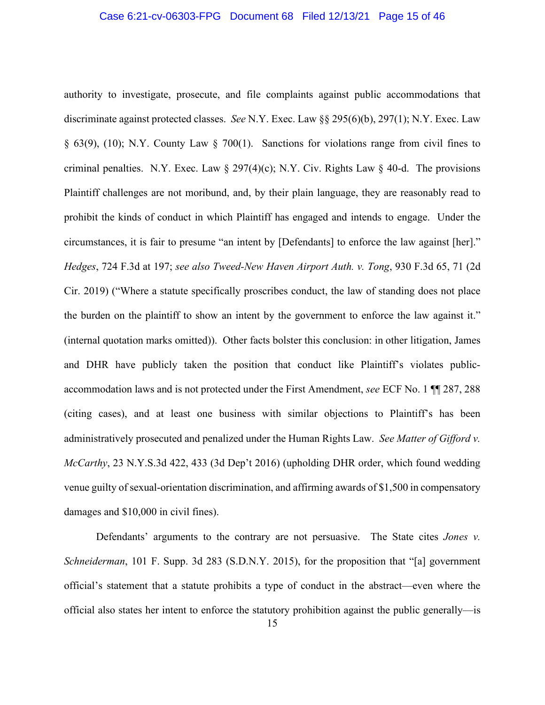### Case 6:21-cv-06303-FPG Document 68 Filed 12/13/21 Page 15 of 46

authority to investigate, prosecute, and file complaints against public accommodations that discriminate against protected classes. *See* N.Y. Exec. Law §§ 295(6)(b), 297(1); N.Y. Exec. Law § 63(9), (10); N.Y. County Law § 700(1). Sanctions for violations range from civil fines to criminal penalties. N.Y. Exec. Law  $\S 297(4)(c)$ ; N.Y. Civ. Rights Law  $\S 40-d$ . The provisions Plaintiff challenges are not moribund, and, by their plain language, they are reasonably read to prohibit the kinds of conduct in which Plaintiff has engaged and intends to engage. Under the circumstances, it is fair to presume "an intent by [Defendants] to enforce the law against [her]." *Hedges*, 724 F.3d at 197; *see also Tweed-New Haven Airport Auth. v. Tong*, 930 F.3d 65, 71 (2d Cir. 2019) ("Where a statute specifically proscribes conduct, the law of standing does not place the burden on the plaintiff to show an intent by the government to enforce the law against it." (internal quotation marks omitted)). Other facts bolster this conclusion: in other litigation, James and DHR have publicly taken the position that conduct like Plaintiff's violates publicaccommodation laws and is not protected under the First Amendment, *see* ECF No. 1 ¶¶ 287, 288 (citing cases), and at least one business with similar objections to Plaintiff's has been administratively prosecuted and penalized under the Human Rights Law. *See Matter of Gifford v. McCarthy*, 23 N.Y.S.3d 422, 433 (3d Dep't 2016) (upholding DHR order, which found wedding venue guilty of sexual-orientation discrimination, and affirming awards of \$1,500 in compensatory damages and \$10,000 in civil fines).

Defendants' arguments to the contrary are not persuasive. The State cites *Jones v. Schneiderman*, 101 F. Supp. 3d 283 (S.D.N.Y. 2015), for the proposition that "[a] government official's statement that a statute prohibits a type of conduct in the abstract—even where the official also states her intent to enforce the statutory prohibition against the public generally—is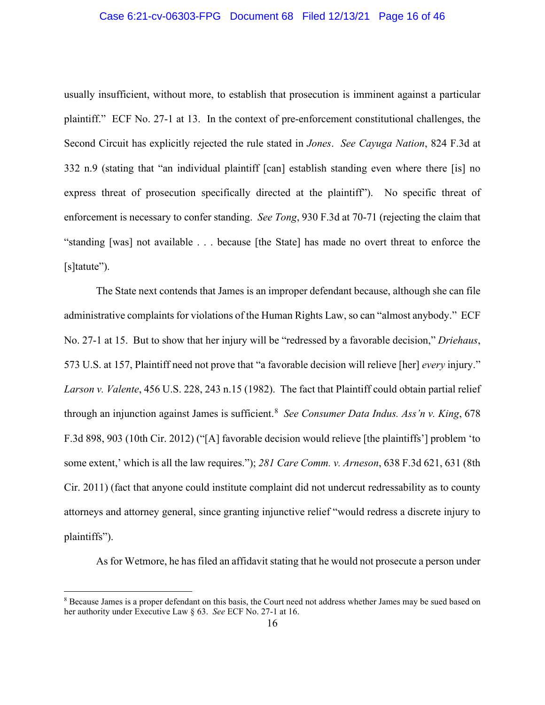## Case 6:21-cv-06303-FPG Document 68 Filed 12/13/21 Page 16 of 46

usually insufficient, without more, to establish that prosecution is imminent against a particular plaintiff." ECF No. 27-1 at 13. In the context of pre-enforcement constitutional challenges, the Second Circuit has explicitly rejected the rule stated in *Jones*. *See Cayuga Nation*, 824 F.3d at 332 n.9 (stating that "an individual plaintiff [can] establish standing even where there [is] no express threat of prosecution specifically directed at the plaintiff"). No specific threat of enforcement is necessary to confer standing. *See Tong*, 930 F.3d at 70-71 (rejecting the claim that "standing [was] not available . . . because [the State] has made no overt threat to enforce the [s]tatute").

The State next contends that James is an improper defendant because, although she can file administrative complaints for violations of the Human Rights Law, so can "almost anybody." ECF No. 27-1 at 15. But to show that her injury will be "redressed by a favorable decision," *Driehaus*, 573 U.S. at 157, Plaintiff need not prove that "a favorable decision will relieve [her] *every* injury." *Larson v. Valente*, 456 U.S. 228, 243 n.15 (1982). The fact that Plaintiff could obtain partial relief through an injunction against James is sufficient.[8](#page-15-0) *See Consumer Data Indus. Ass'n v. King*, 678 F.3d 898, 903 (10th Cir. 2012) ("[A] favorable decision would relieve [the plaintiffs'] problem 'to some extent,' which is all the law requires."); *281 Care Comm. v. Arneson*, 638 F.3d 621, 631 (8th Cir. 2011) (fact that anyone could institute complaint did not undercut redressability as to county attorneys and attorney general, since granting injunctive relief "would redress a discrete injury to plaintiffs").

As for Wetmore, he has filed an affidavit stating that he would not prosecute a person under

<span id="page-15-0"></span><sup>8</sup> Because James is a proper defendant on this basis, the Court need not address whether James may be sued based on her authority under Executive Law § 63. *See* ECF No. 27-1 at 16.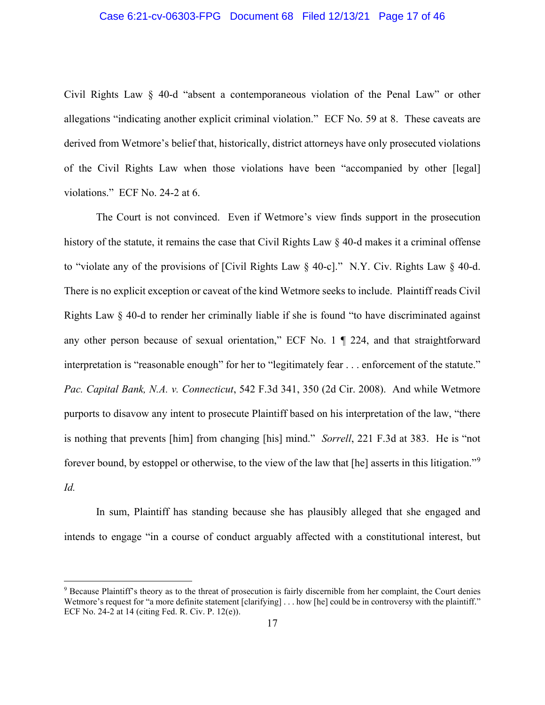## Case 6:21-cv-06303-FPG Document 68 Filed 12/13/21 Page 17 of 46

Civil Rights Law § 40-d "absent a contemporaneous violation of the Penal Law" or other allegations "indicating another explicit criminal violation." ECF No. 59 at 8. These caveats are derived from Wetmore's belief that, historically, district attorneys have only prosecuted violations of the Civil Rights Law when those violations have been "accompanied by other [legal] violations." ECF No. 24-2 at 6.

The Court is not convinced. Even if Wetmore's view finds support in the prosecution history of the statute, it remains the case that Civil Rights Law § 40-d makes it a criminal offense to "violate any of the provisions of [Civil Rights Law § 40-c]." N.Y. Civ. Rights Law § 40-d. There is no explicit exception or caveat of the kind Wetmore seeks to include. Plaintiff reads Civil Rights Law § 40-d to render her criminally liable if she is found "to have discriminated against any other person because of sexual orientation," ECF No. 1 ¶ 224, and that straightforward interpretation is "reasonable enough" for her to "legitimately fear . . . enforcement of the statute." *Pac. Capital Bank, N.A. v. Connecticut*, 542 F.3d 341, 350 (2d Cir. 2008). And while Wetmore purports to disavow any intent to prosecute Plaintiff based on his interpretation of the law, "there is nothing that prevents [him] from changing [his] mind." *Sorrell*, 221 F.3d at 383. He is "not forever bound, by estoppel or otherwise, to the view of the law that [he] asserts in this litigation."<sup>[9](#page-16-0)</sup> *Id.*

In sum, Plaintiff has standing because she has plausibly alleged that she engaged and intends to engage "in a course of conduct arguably affected with a constitutional interest, but

<span id="page-16-0"></span><sup>9</sup> Because Plaintiff's theory as to the threat of prosecution is fairly discernible from her complaint, the Court denies Wetmore's request for "a more definite statement [clarifying] . . . how [he] could be in controversy with the plaintiff." ECF No. 24-2 at 14 (citing Fed. R. Civ. P. 12(e)).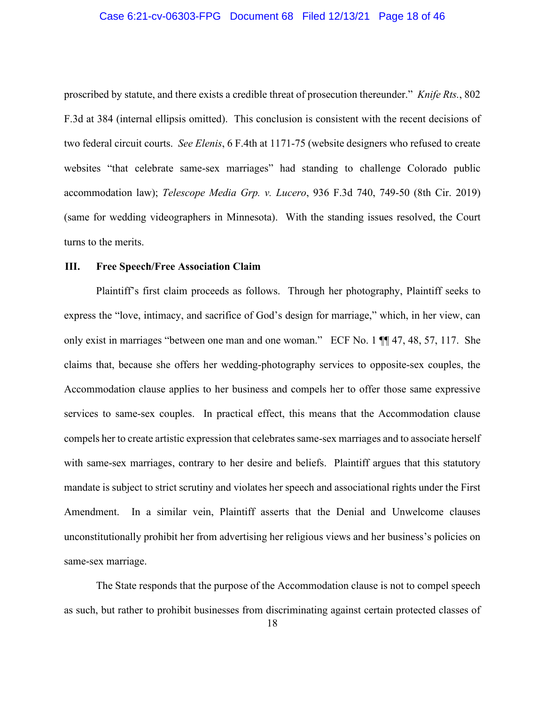### Case 6:21-cv-06303-FPG Document 68 Filed 12/13/21 Page 18 of 46

proscribed by statute, and there exists a credible threat of prosecution thereunder." *Knife Rts.*, 802 F.3d at 384 (internal ellipsis omitted). This conclusion is consistent with the recent decisions of two federal circuit courts. *See Elenis*, 6 F.4th at 1171-75 (website designers who refused to create websites "that celebrate same-sex marriages" had standing to challenge Colorado public accommodation law); *Telescope Media Grp. v. Lucero*, 936 F.3d 740, 749-50 (8th Cir. 2019) (same for wedding videographers in Minnesota). With the standing issues resolved, the Court turns to the merits.

### **III. Free Speech/Free Association Claim**

Plaintiff's first claim proceeds as follows. Through her photography, Plaintiff seeks to express the "love, intimacy, and sacrifice of God's design for marriage," which, in her view, can only exist in marriages "between one man and one woman." ECF No. 1 ¶¶ 47, 48, 57, 117. She claims that, because she offers her wedding-photography services to opposite-sex couples, the Accommodation clause applies to her business and compels her to offer those same expressive services to same-sex couples. In practical effect, this means that the Accommodation clause compels her to create artistic expression that celebrates same-sex marriages and to associate herself with same-sex marriages, contrary to her desire and beliefs. Plaintiff argues that this statutory mandate is subject to strict scrutiny and violates her speech and associational rights under the First Amendment. In a similar vein, Plaintiff asserts that the Denial and Unwelcome clauses unconstitutionally prohibit her from advertising her religious views and her business's policies on same-sex marriage.

The State responds that the purpose of the Accommodation clause is not to compel speech as such, but rather to prohibit businesses from discriminating against certain protected classes of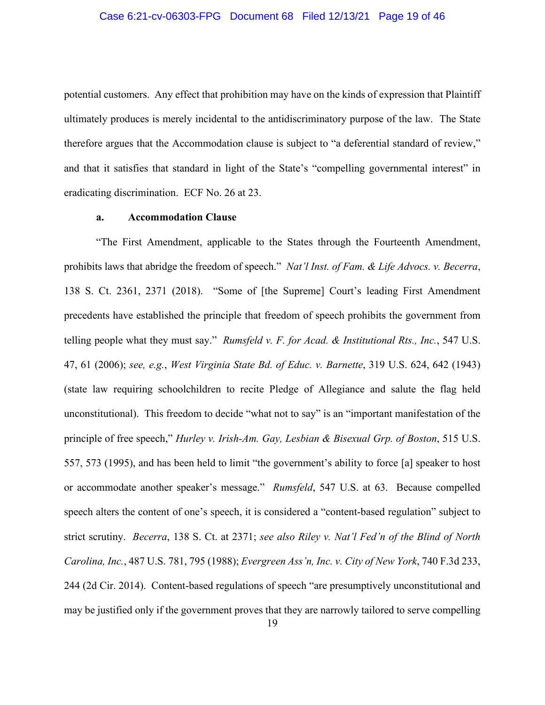### Case 6:21-cv-06303-FPG Document 68 Filed 12/13/21 Page 19 of 46

potential customers. Any effect that prohibition may have on the kinds of expression that Plaintiff ultimately produces is merely incidental to the antidiscriminatory purpose of the law. The State therefore argues that the Accommodation clause is subject to "a deferential standard of review," and that it satisfies that standard in light of the State's "compelling governmental interest" in eradicating discrimination. ECF No. 26 at 23.

# **a. Accommodation Clause**

"The First Amendment, applicable to the States through the Fourteenth Amendment, prohibits laws that abridge the freedom of speech." *Nat'l Inst. of Fam. & Life Advocs. v. Becerra*, 138 S. Ct. 2361, 2371 (2018). "Some of [the Supreme] Court's leading First Amendment precedents have established the principle that freedom of speech prohibits the government from telling people what they must say." *Rumsfeld v. F. for Acad. & Institutional Rts., Inc.*, 547 U.S. 47, 61 (2006); *see, e.g.*, *West Virginia State Bd. of Educ. v. Barnette*, 319 U.S. 624, 642 (1943) (state law requiring schoolchildren to recite Pledge of Allegiance and salute the flag held unconstitutional). This freedom to decide "what not to say" is an "important manifestation of the principle of free speech," *Hurley v. Irish-Am. Gay, Lesbian & Bisexual Grp. of Boston*, 515 U.S. 557, 573 (1995), and has been held to limit "the government's ability to force [a] speaker to host or accommodate another speaker's message." *Rumsfeld*, 547 U.S. at 63. Because compelled speech alters the content of one's speech, it is considered a "content-based regulation" subject to strict scrutiny. *Becerra*, 138 S. Ct. at 2371; *see also Riley v. Nat'l Fed'n of the Blind of North Carolina, Inc.*, 487 U.S. 781, 795 (1988); *Evergreen Ass'n, Inc. v. City of New York*, 740 F.3d 233, 244 (2d Cir. 2014). Content-based regulations of speech "are presumptively unconstitutional and may be justified only if the government proves that they are narrowly tailored to serve compelling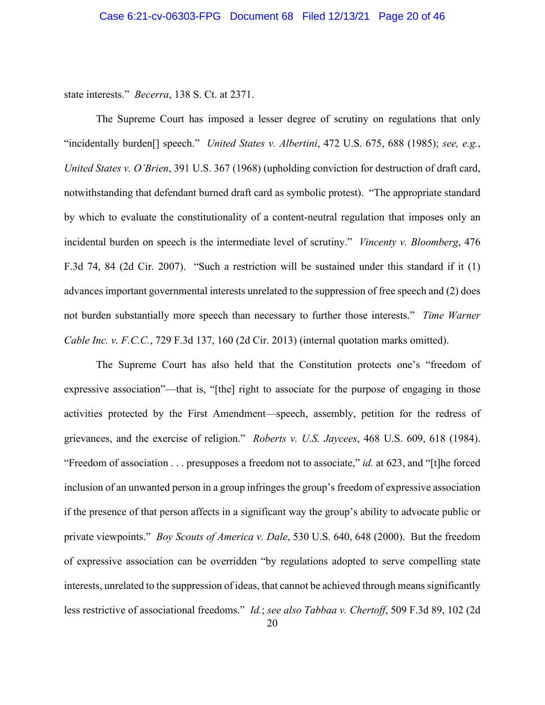state interests." *Becerra*, 138 S. Ct. at 2371.

The Supreme Court has imposed a lesser degree of scrutiny on regulations that only "incidentally burden[] speech." *United States v. Albertini*, 472 U.S. 675, 688 (1985); *see, e.g.*, *United States v. O'Brien*, 391 U.S. 367 (1968) (upholding conviction for destruction of draft card, notwithstanding that defendant burned draft card as symbolic protest). "The appropriate standard by which to evaluate the constitutionality of a content-neutral regulation that imposes only an incidental burden on speech is the intermediate level of scrutiny." *Vincenty v. Bloomberg*, 476 F.3d 74, 84 (2d Cir. 2007). "Such a restriction will be sustained under this standard if it (1) advances important governmental interests unrelated to the suppression of free speech and (2) does not burden substantially more speech than necessary to further those interests." *Time Warner Cable Inc. v. F.C.C.*, 729 F.3d 137, 160 (2d Cir. 2013) (internal quotation marks omitted).

The Supreme Court has also held that the Constitution protects one's "freedom of expressive association"—that is, "[the] right to associate for the purpose of engaging in those activities protected by the First Amendment—speech, assembly, petition for the redress of grievances, and the exercise of religion." *Roberts v. U.S. Jaycees*, 468 U.S. 609, 618 (1984). "Freedom of association . . . presupposes a freedom not to associate," *id.* at 623, and "[t]he forced inclusion of an unwanted person in a group infringes the group's freedom of expressive association if the presence of that person affects in a significant way the group's ability to advocate public or private viewpoints." *Boy Scouts of America v. Dale*, 530 U.S. 640, 648 (2000). But the freedom of expressive association can be overridden "by regulations adopted to serve compelling state interests, unrelated to the suppression of ideas, that cannot be achieved through means significantly less restrictive of associational freedoms." *Id.*; *see also Tabbaa v. Chertoff*, 509 F.3d 89, 102 (2d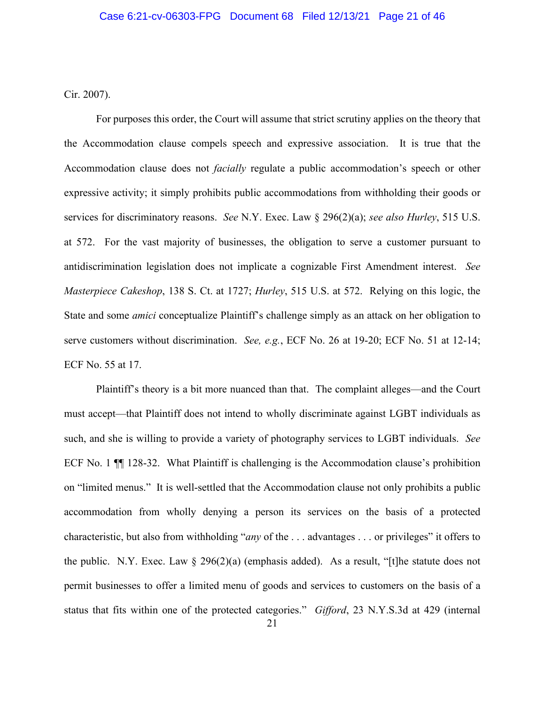Cir. 2007).

For purposes this order, the Court will assume that strict scrutiny applies on the theory that the Accommodation clause compels speech and expressive association. It is true that the Accommodation clause does not *facially* regulate a public accommodation's speech or other expressive activity; it simply prohibits public accommodations from withholding their goods or services for discriminatory reasons. *See* N.Y. Exec. Law § 296(2)(a); *see also Hurley*, 515 U.S. at 572. For the vast majority of businesses, the obligation to serve a customer pursuant to antidiscrimination legislation does not implicate a cognizable First Amendment interest. *See Masterpiece Cakeshop*, 138 S. Ct. at 1727; *Hurley*, 515 U.S. at 572. Relying on this logic, the State and some *amici* conceptualize Plaintiff's challenge simply as an attack on her obligation to serve customers without discrimination. *See, e.g.*, ECF No. 26 at 19-20; ECF No. 51 at 12-14; ECF No. 55 at 17.

Plaintiff's theory is a bit more nuanced than that. The complaint alleges—and the Court must accept—that Plaintiff does not intend to wholly discriminate against LGBT individuals as such, and she is willing to provide a variety of photography services to LGBT individuals. *See*  ECF No. 1 ¶¶ 128-32. What Plaintiff is challenging is the Accommodation clause's prohibition on "limited menus." It is well-settled that the Accommodation clause not only prohibits a public accommodation from wholly denying a person its services on the basis of a protected characteristic, but also from withholding "*any* of the . . . advantages . . . or privileges" it offers to the public. N.Y. Exec. Law  $\S$  296(2)(a) (emphasis added). As a result, "[t]he statute does not permit businesses to offer a limited menu of goods and services to customers on the basis of a status that fits within one of the protected categories." *Gifford*, 23 N.Y.S.3d at 429 (internal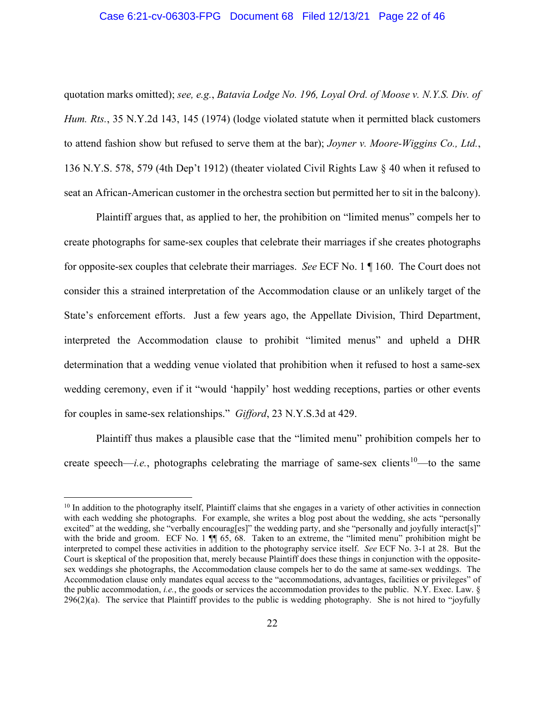# Case 6:21-cv-06303-FPG Document 68 Filed 12/13/21 Page 22 of 46

quotation marks omitted); *see, e.g.*, *Batavia Lodge No. 196, Loyal Ord. of Moose v. N.Y.S. Div. of Hum. Rts.*, 35 N.Y.2d 143, 145 (1974) (lodge violated statute when it permitted black customers to attend fashion show but refused to serve them at the bar); *Joyner v. Moore-Wiggins Co., Ltd.*, 136 N.Y.S. 578, 579 (4th Dep't 1912) (theater violated Civil Rights Law § 40 when it refused to seat an African-American customer in the orchestra section but permitted her to sit in the balcony).

Plaintiff argues that, as applied to her, the prohibition on "limited menus" compels her to create photographs for same-sex couples that celebrate their marriages if she creates photographs for opposite-sex couples that celebrate their marriages. *See* ECF No. 1 ¶ 160. The Court does not consider this a strained interpretation of the Accommodation clause or an unlikely target of the State's enforcement efforts. Just a few years ago, the Appellate Division, Third Department, interpreted the Accommodation clause to prohibit "limited menus" and upheld a DHR determination that a wedding venue violated that prohibition when it refused to host a same-sex wedding ceremony, even if it "would 'happily' host wedding receptions, parties or other events for couples in same-sex relationships." *Gifford*, 23 N.Y.S.3d at 429.

Plaintiff thus makes a plausible case that the "limited menu" prohibition compels her to create speech—*i.e.*, photographs celebrating the marriage of same-sex clients<sup>[10](#page-21-0)</sup>—to the same

<span id="page-21-0"></span> $10$  In addition to the photography itself, Plaintiff claims that she engages in a variety of other activities in connection with each wedding she photographs. For example, she writes a blog post about the wedding, she acts "personally excited" at the wedding, she "verbally encourag[es]" the wedding party, and she "personally and joyfully interact[s]" with the bride and groom. ECF No. 1  $\P$  65, 68. Taken to an extreme, the "limited menu" prohibition might be interpreted to compel these activities in addition to the photography service itself. *See* ECF No. 3-1 at 28. But the Court is skeptical of the proposition that, merely because Plaintiff does these things in conjunction with the oppositesex weddings she photographs, the Accommodation clause compels her to do the same at same-sex weddings. The Accommodation clause only mandates equal access to the "accommodations, advantages, facilities or privileges" of the public accommodation, *i.e.*, the goods or services the accommodation provides to the public. N.Y. Exec. Law. §  $296(2)(a)$ . The service that Plaintiff provides to the public is wedding photography. She is not hired to "joyfully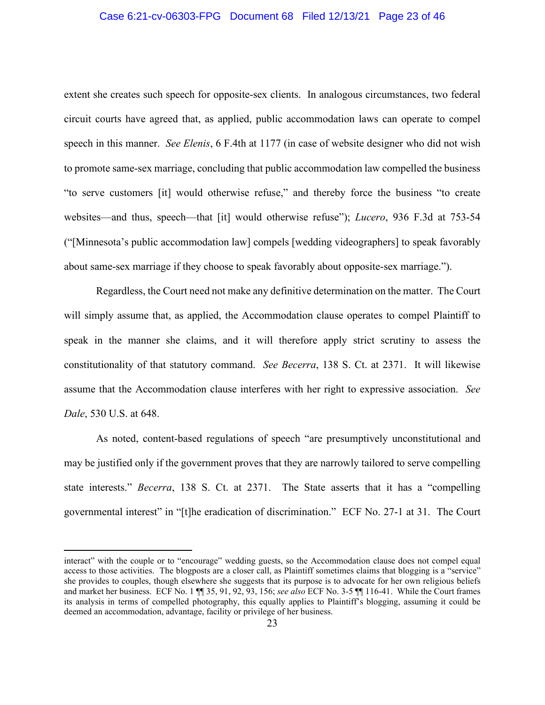## Case 6:21-cv-06303-FPG Document 68 Filed 12/13/21 Page 23 of 46

extent she creates such speech for opposite-sex clients. In analogous circumstances, two federal circuit courts have agreed that, as applied, public accommodation laws can operate to compel speech in this manner. *See Elenis*, 6 F.4th at 1177 (in case of website designer who did not wish to promote same-sex marriage, concluding that public accommodation law compelled the business "to serve customers [it] would otherwise refuse," and thereby force the business "to create websites—and thus, speech—that [it] would otherwise refuse"); *Lucero*, 936 F.3d at 753-54 ("[Minnesota's public accommodation law] compels [wedding videographers] to speak favorably about same-sex marriage if they choose to speak favorably about opposite-sex marriage.").

Regardless, the Court need not make any definitive determination on the matter. The Court will simply assume that, as applied, the Accommodation clause operates to compel Plaintiff to speak in the manner she claims, and it will therefore apply strict scrutiny to assess the constitutionality of that statutory command. *See Becerra*, 138 S. Ct. at 2371. It will likewise assume that the Accommodation clause interferes with her right to expressive association. *See Dale*, 530 U.S. at 648.

As noted, content-based regulations of speech "are presumptively unconstitutional and may be justified only if the government proves that they are narrowly tailored to serve compelling state interests." *Becerra*, 138 S. Ct. at 2371. The State asserts that it has a "compelling governmental interest" in "[t]he eradication of discrimination." ECF No. 27-1 at 31. The Court

interact" with the couple or to "encourage" wedding guests, so the Accommodation clause does not compel equal access to those activities. The blogposts are a closer call, as Plaintiff sometimes claims that blogging is a "service" she provides to couples, though elsewhere she suggests that its purpose is to advocate for her own religious beliefs and market her business. ECF No. 1 ¶¶ 35, 91, 92, 93, 156; *see also* ECF No. 3-5 ¶¶ 116-41. While the Court frames its analysis in terms of compelled photography, this equally applies to Plaintiff's blogging, assuming it could be deemed an accommodation, advantage, facility or privilege of her business.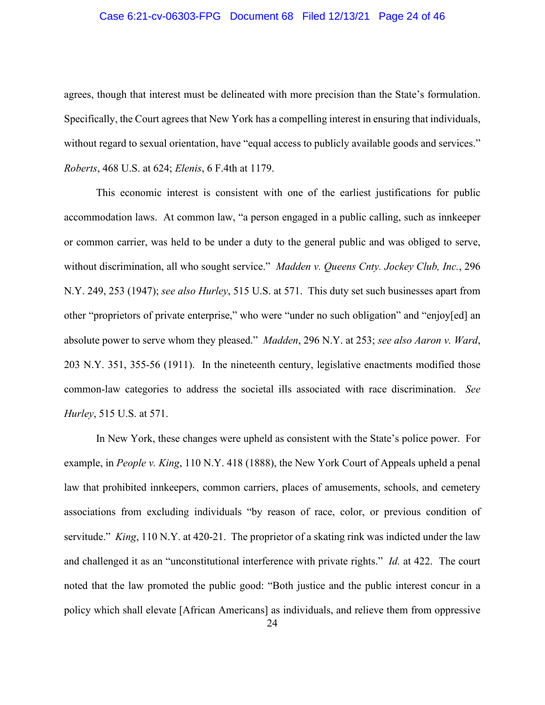## Case 6:21-cv-06303-FPG Document 68 Filed 12/13/21 Page 24 of 46

agrees, though that interest must be delineated with more precision than the State's formulation. Specifically, the Court agrees that New York has a compelling interest in ensuring that individuals, without regard to sexual orientation, have "equal access to publicly available goods and services." *Roberts*, 468 U.S. at 624; *Elenis*, 6 F.4th at 1179.

This economic interest is consistent with one of the earliest justifications for public accommodation laws. At common law, "a person engaged in a public calling, such as innkeeper or common carrier, was held to be under a duty to the general public and was obliged to serve, without discrimination, all who sought service." *Madden v. Queens Cnty. Jockey Club, Inc.*, 296 N.Y. 249, 253 (1947); *see also Hurley*, 515 U.S. at 571. This duty set such businesses apart from other "proprietors of private enterprise," who were "under no such obligation" and "enjoy[ed] an absolute power to serve whom they pleased." *Madden*, 296 N.Y. at 253; *see also Aaron v. Ward*, 203 N.Y. 351, 355-56 (1911). In the nineteenth century, legislative enactments modified those common-law categories to address the societal ills associated with race discrimination. *See Hurley*, 515 U.S. at 571.

In New York, these changes were upheld as consistent with the State's police power. For example, in *People v. King*, 110 N.Y. 418 (1888), the New York Court of Appeals upheld a penal law that prohibited innkeepers, common carriers, places of amusements, schools, and cemetery associations from excluding individuals "by reason of race, color, or previous condition of servitude." *King*, 110 N.Y. at 420-21. The proprietor of a skating rink was indicted under the law and challenged it as an "unconstitutional interference with private rights." *Id.* at 422. The court noted that the law promoted the public good: "Both justice and the public interest concur in a policy which shall elevate [African Americans] as individuals, and relieve them from oppressive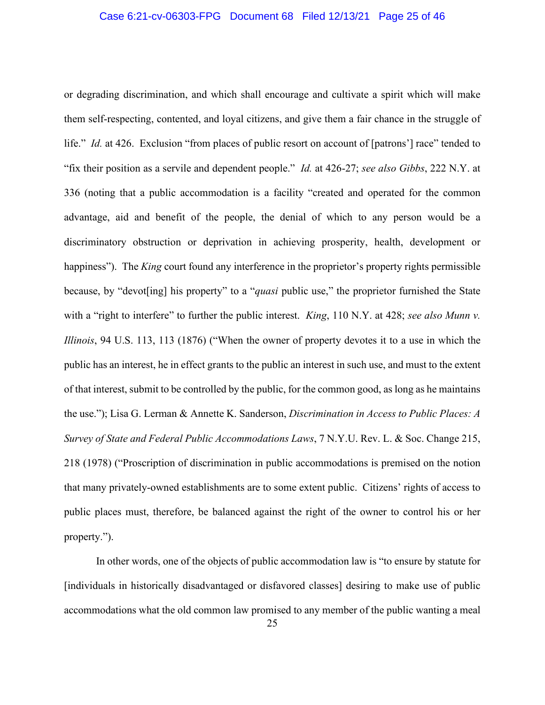# Case 6:21-cv-06303-FPG Document 68 Filed 12/13/21 Page 25 of 46

or degrading discrimination, and which shall encourage and cultivate a spirit which will make them self-respecting, contented, and loyal citizens, and give them a fair chance in the struggle of life." *Id.* at 426. Exclusion "from places of public resort on account of [patrons'] race" tended to "fix their position as a servile and dependent people." *Id.* at 426-27; *see also Gibbs*, 222 N.Y. at 336 (noting that a public accommodation is a facility "created and operated for the common advantage, aid and benefit of the people, the denial of which to any person would be a discriminatory obstruction or deprivation in achieving prosperity, health, development or happiness"). The *King* court found any interference in the proprietor's property rights permissible because, by "devot[ing] his property" to a "*quasi* public use," the proprietor furnished the State with a "right to interfere" to further the public interest. *King*, 110 N.Y. at 428; *see also Munn v*. *Illinois*, 94 U.S. 113, 113 (1876) ("When the owner of property devotes it to a use in which the public has an interest, he in effect grants to the public an interest in such use, and must to the extent of that interest, submit to be controlled by the public, for the common good, as long as he maintains the use."); Lisa G. Lerman & Annette K. Sanderson, *Discrimination in Access to Public Places: A Survey of State and Federal Public Accommodations Laws*, 7 N.Y.U. Rev. L. & Soc. Change 215, 218 (1978) ("Proscription of discrimination in public accommodations is premised on the notion that many privately-owned establishments are to some extent public. Citizens' rights of access to public places must, therefore, be balanced against the right of the owner to control his or her property.").

In other words, one of the objects of public accommodation law is "to ensure by statute for [individuals in historically disadvantaged or disfavored classes] desiring to make use of public accommodations what the old common law promised to any member of the public wanting a meal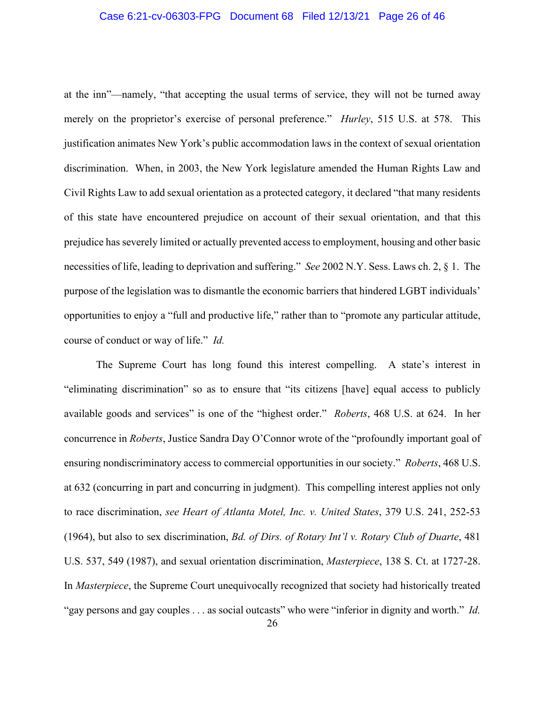### Case 6:21-cv-06303-FPG Document 68 Filed 12/13/21 Page 26 of 46

at the inn"—namely, "that accepting the usual terms of service, they will not be turned away merely on the proprietor's exercise of personal preference." *Hurley*, 515 U.S. at 578.This justification animates New York's public accommodation laws in the context of sexual orientation discrimination. When, in 2003, the New York legislature amended the Human Rights Law and Civil Rights Law to add sexual orientation as a protected category, it declared "that many residents of this state have encountered prejudice on account of their sexual orientation, and that this prejudice has severely limited or actually prevented access to employment, housing and other basic necessities of life, leading to deprivation and suffering." *See* 2002 N.Y. Sess. Laws ch. 2, § 1. The purpose of the legislation was to dismantle the economic barriers that hindered LGBT individuals' opportunities to enjoy a "full and productive life," rather than to "promote any particular attitude, course of conduct or way of life." *Id.*

The Supreme Court has long found this interest compelling. A state's interest in "eliminating discrimination" so as to ensure that "its citizens [have] equal access to publicly available goods and services" is one of the "highest order." *Roberts*, 468 U.S. at 624. In her concurrence in *Roberts*, Justice Sandra Day O'Connor wrote of the "profoundly important goal of ensuring nondiscriminatory access to commercial opportunities in our society." *Roberts*, 468 U.S. at 632 (concurring in part and concurring in judgment). This compelling interest applies not only to race discrimination, *see Heart of Atlanta Motel, Inc. v. United States*, 379 U.S. 241, 252-53 (1964), but also to sex discrimination, *Bd. of Dirs. of Rotary Int'l v. Rotary Club of Duarte*, 481 U.S. 537, 549 (1987), and sexual orientation discrimination, *Masterpiece*, 138 S. Ct. at 1727-28. In *Masterpiece*, the Supreme Court unequivocally recognized that society had historically treated "gay persons and gay couples . . . as social outcasts" who were "inferior in dignity and worth." *Id.*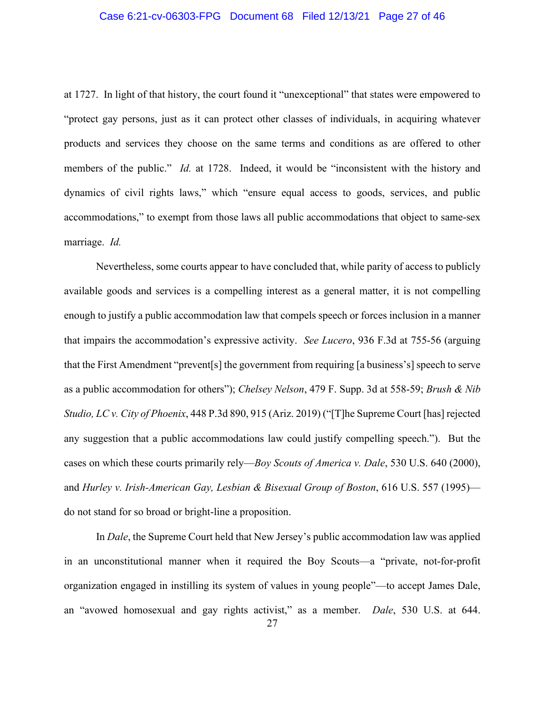## Case 6:21-cv-06303-FPG Document 68 Filed 12/13/21 Page 27 of 46

at 1727. In light of that history, the court found it "unexceptional" that states were empowered to "protect gay persons, just as it can protect other classes of individuals, in acquiring whatever products and services they choose on the same terms and conditions as are offered to other members of the public." *Id.* at 1728. Indeed, it would be "inconsistent with the history and dynamics of civil rights laws," which "ensure equal access to goods, services, and public accommodations," to exempt from those laws all public accommodations that object to same-sex marriage. *Id.*

Nevertheless, some courts appear to have concluded that, while parity of access to publicly available goods and services is a compelling interest as a general matter, it is not compelling enough to justify a public accommodation law that compels speech or forces inclusion in a manner that impairs the accommodation's expressive activity. *See Lucero*, 936 F.3d at 755-56 (arguing that the First Amendment "prevent[s] the government from requiring [a business's] speech to serve as a public accommodation for others"); *Chelsey Nelson*, 479 F. Supp. 3d at 558-59; *Brush & Nib Studio, LC v. City of Phoenix*, 448 P.3d 890, 915 (Ariz. 2019) ("[T]he Supreme Court [has] rejected any suggestion that a public accommodations law could justify compelling speech."). But the cases on which these courts primarily rely—*Boy Scouts of America v. Dale*, 530 U.S. 640 (2000), and *Hurley v. Irish-American Gay, Lesbian & Bisexual Group of Boston*, 616 U.S. 557 (1995) do not stand for so broad or bright-line a proposition.

In *Dale*, the Supreme Court held that New Jersey's public accommodation law was applied in an unconstitutional manner when it required the Boy Scouts—a "private, not-for-profit organization engaged in instilling its system of values in young people"—to accept James Dale, an "avowed homosexual and gay rights activist," as a member. *Dale*, 530 U.S. at 644.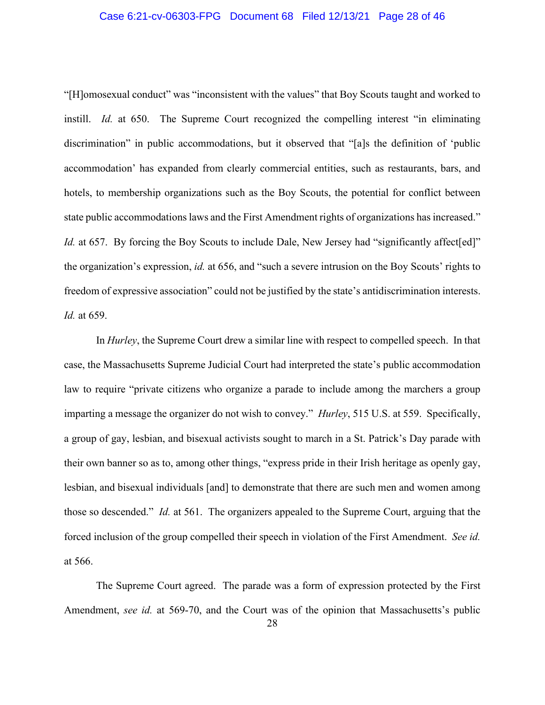## Case 6:21-cv-06303-FPG Document 68 Filed 12/13/21 Page 28 of 46

"[H]omosexual conduct" was "inconsistent with the values" that Boy Scouts taught and worked to instill. *Id.* at 650. The Supreme Court recognized the compelling interest "in eliminating discrimination" in public accommodations, but it observed that "[a]s the definition of 'public accommodation' has expanded from clearly commercial entities, such as restaurants, bars, and hotels, to membership organizations such as the Boy Scouts, the potential for conflict between state public accommodations laws and the First Amendment rights of organizations has increased." *Id.* at 657. By forcing the Boy Scouts to include Dale, New Jersey had "significantly affect [ed]" the organization's expression, *id.* at 656, and "such a severe intrusion on the Boy Scouts' rights to freedom of expressive association" could not be justified by the state's antidiscrimination interests. *Id.* at 659.

In *Hurley*, the Supreme Court drew a similar line with respect to compelled speech. In that case, the Massachusetts Supreme Judicial Court had interpreted the state's public accommodation law to require "private citizens who organize a parade to include among the marchers a group imparting a message the organizer do not wish to convey." *Hurley*, 515 U.S. at 559. Specifically, a group of gay, lesbian, and bisexual activists sought to march in a St. Patrick's Day parade with their own banner so as to, among other things, "express pride in their Irish heritage as openly gay, lesbian, and bisexual individuals [and] to demonstrate that there are such men and women among those so descended." *Id.* at 561. The organizers appealed to the Supreme Court, arguing that the forced inclusion of the group compelled their speech in violation of the First Amendment. *See id.* at 566.

The Supreme Court agreed. The parade was a form of expression protected by the First Amendment, *see id.* at 569-70, and the Court was of the opinion that Massachusetts's public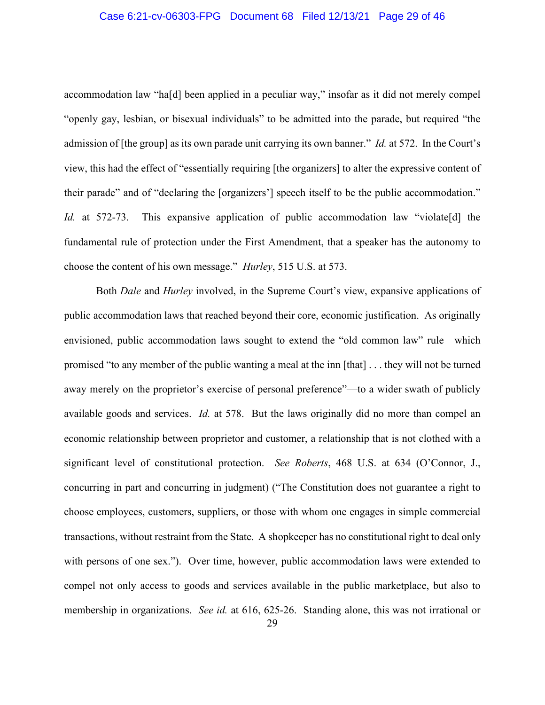### Case 6:21-cv-06303-FPG Document 68 Filed 12/13/21 Page 29 of 46

accommodation law "ha[d] been applied in a peculiar way," insofar as it did not merely compel "openly gay, lesbian, or bisexual individuals" to be admitted into the parade, but required "the admission of [the group] as its own parade unit carrying its own banner." *Id.* at 572. In the Court's view, this had the effect of "essentially requiring [the organizers] to alter the expressive content of their parade" and of "declaring the [organizers'] speech itself to be the public accommodation." *Id.* at 572-73. This expansive application of public accommodation law "violate<sup>[d]</sup> the fundamental rule of protection under the First Amendment, that a speaker has the autonomy to choose the content of his own message." *Hurley*, 515 U.S. at 573.

Both *Dale* and *Hurley* involved, in the Supreme Court's view, expansive applications of public accommodation laws that reached beyond their core, economic justification. As originally envisioned, public accommodation laws sought to extend the "old common law" rule—which promised "to any member of the public wanting a meal at the inn [that] . . . they will not be turned away merely on the proprietor's exercise of personal preference"—to a wider swath of publicly available goods and services. *Id.* at 578. But the laws originally did no more than compel an economic relationship between proprietor and customer, a relationship that is not clothed with a significant level of constitutional protection. *See Roberts*, 468 U.S. at 634 (O'Connor, J., concurring in part and concurring in judgment) ("The Constitution does not guarantee a right to choose employees, customers, suppliers, or those with whom one engages in simple commercial transactions, without restraint from the State. A shopkeeper has no constitutional right to deal only with persons of one sex."). Over time, however, public accommodation laws were extended to compel not only access to goods and services available in the public marketplace, but also to membership in organizations. *See id.* at 616, 625-26. Standing alone, this was not irrational or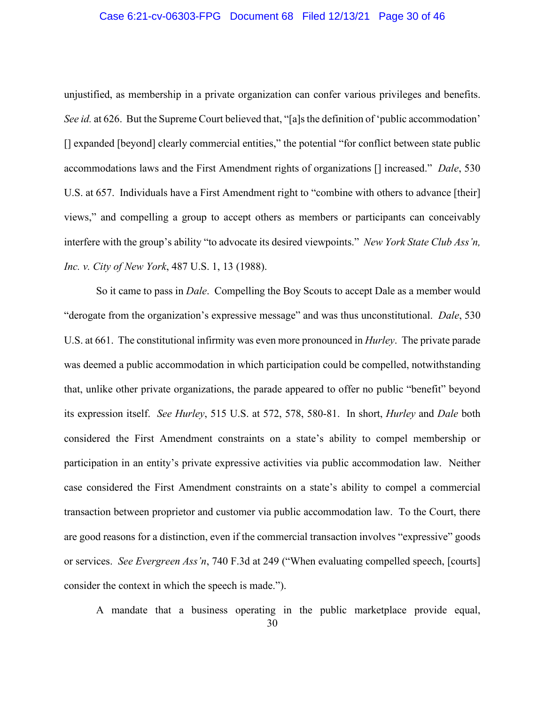### Case 6:21-cv-06303-FPG Document 68 Filed 12/13/21 Page 30 of 46

unjustified, as membership in a private organization can confer various privileges and benefits. *See id.* at 626. But the Supreme Court believed that, "[a]s the definition of 'public accommodation' [] expanded [beyond] clearly commercial entities," the potential "for conflict between state public accommodations laws and the First Amendment rights of organizations [] increased." *Dale*, 530 U.S. at 657. Individuals have a First Amendment right to "combine with others to advance [their] views," and compelling a group to accept others as members or participants can conceivably interfere with the group's ability "to advocate its desired viewpoints." *New York State Club Ass'n, Inc. v. City of New York*, 487 U.S. 1, 13 (1988).

So it came to pass in *Dale*. Compelling the Boy Scouts to accept Dale as a member would "derogate from the organization's expressive message" and was thus unconstitutional. *Dale*, 530 U.S. at 661. The constitutional infirmity was even more pronounced in *Hurley*. The private parade was deemed a public accommodation in which participation could be compelled, notwithstanding that, unlike other private organizations, the parade appeared to offer no public "benefit" beyond its expression itself. *See Hurley*, 515 U.S. at 572, 578, 580-81. In short, *Hurley* and *Dale* both considered the First Amendment constraints on a state's ability to compel membership or participation in an entity's private expressive activities via public accommodation law. Neither case considered the First Amendment constraints on a state's ability to compel a commercial transaction between proprietor and customer via public accommodation law. To the Court, there are good reasons for a distinction, even if the commercial transaction involves "expressive" goods or services. *See Evergreen Ass'n*, 740 F.3d at 249 ("When evaluating compelled speech, [courts] consider the context in which the speech is made.").

30 A mandate that a business operating in the public marketplace provide equal,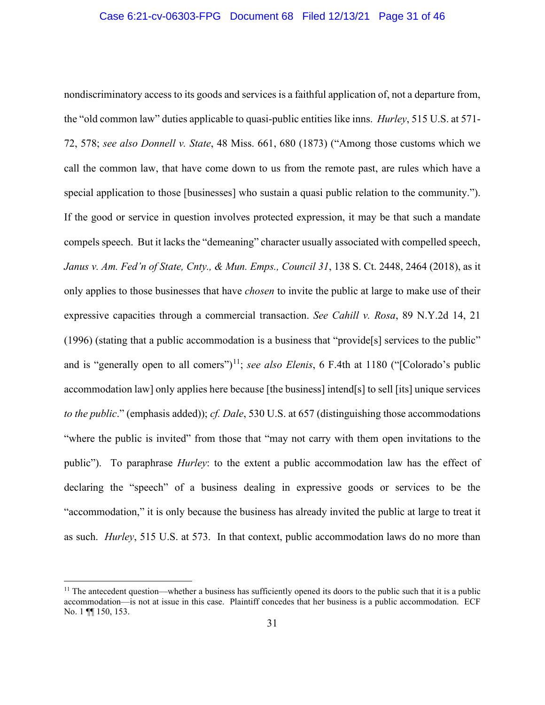nondiscriminatory access to its goods and services is a faithful application of, not a departure from, the "old common law" duties applicable to quasi-public entities like inns. *Hurley*, 515 U.S. at 571- 72, 578; *see also Donnell v. State*, 48 Miss. 661, 680 (1873) ("Among those customs which we call the common law, that have come down to us from the remote past, are rules which have a special application to those [businesses] who sustain a quasi public relation to the community."). If the good or service in question involves protected expression, it may be that such a mandate compels speech. But it lacks the "demeaning" character usually associated with compelled speech, *Janus v. Am. Fed'n of State, Cnty., & Mun. Emps., Council 31*, 138 S. Ct. 2448, 2464 (2018), as it only applies to those businesses that have *chosen* to invite the public at large to make use of their expressive capacities through a commercial transaction. *See Cahill v. Rosa*, 89 N.Y.2d 14, 21 (1996) (stating that a public accommodation is a business that "provide[s] services to the public" and is "generally open to all comers")<sup>[11](#page-30-0)</sup>; *see also Elenis*, 6 F.4th at 1180 ("[Colorado's public accommodation law] only applies here because [the business] intend[s] to sell [its] unique services *to the public*." (emphasis added)); *cf. Dale*, 530 U.S. at 657 (distinguishing those accommodations "where the public is invited" from those that "may not carry with them open invitations to the public"). To paraphrase *Hurley*: to the extent a public accommodation law has the effect of declaring the "speech" of a business dealing in expressive goods or services to be the "accommodation," it is only because the business has already invited the public at large to treat it as such. *Hurley*, 515 U.S. at 573. In that context, public accommodation laws do no more than

<span id="page-30-0"></span><sup>&</sup>lt;sup>11</sup> The antecedent question—whether a business has sufficiently opened its doors to the public such that it is a public accommodation—is not at issue in this case. Plaintiff concedes that her business is a public accommodation. ECF No. 1 **¶** 150, 153.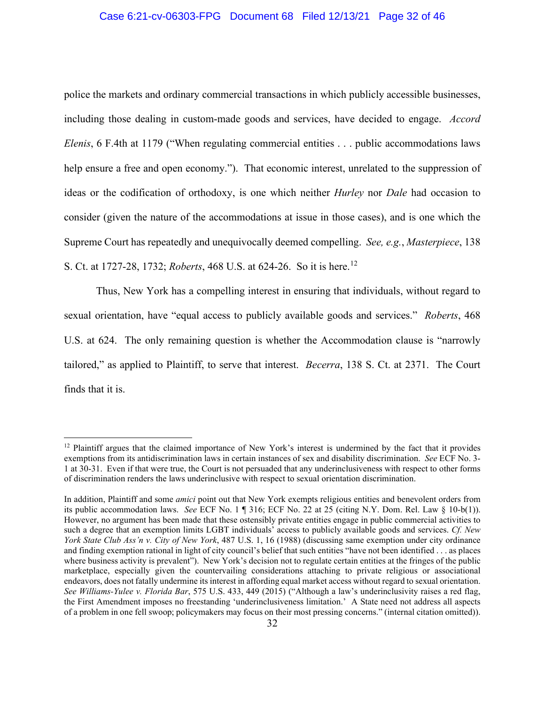## Case 6:21-cv-06303-FPG Document 68 Filed 12/13/21 Page 32 of 46

police the markets and ordinary commercial transactions in which publicly accessible businesses, including those dealing in custom-made goods and services, have decided to engage. *Accord Elenis*, 6 F.4th at 1179 ("When regulating commercial entities . . . public accommodations laws help ensure a free and open economy."). That economic interest, unrelated to the suppression of ideas or the codification of orthodoxy, is one which neither *Hurley* nor *Dale* had occasion to consider (given the nature of the accommodations at issue in those cases), and is one which the Supreme Court has repeatedly and unequivocally deemed compelling. *See, e.g.*, *Masterpiece*, 138 S. Ct. at 1727-28, 1732; *Roberts*, 468 U.S. at 624-26. So it is here.[12](#page-31-0)

Thus, New York has a compelling interest in ensuring that individuals, without regard to sexual orientation, have "equal access to publicly available goods and services." *Roberts*, 468 U.S. at 624. The only remaining question is whether the Accommodation clause is "narrowly tailored," as applied to Plaintiff, to serve that interest. *Becerra*, 138 S. Ct. at 2371. The Court finds that it is.

<span id="page-31-0"></span><sup>&</sup>lt;sup>12</sup> Plaintiff argues that the claimed importance of New York's interest is undermined by the fact that it provides exemptions from its antidiscrimination laws in certain instances of sex and disability discrimination. *See* ECF No. 3- 1 at 30-31. Even if that were true, the Court is not persuaded that any underinclusiveness with respect to other forms of discrimination renders the laws underinclusive with respect to sexual orientation discrimination.

In addition, Plaintiff and some *amici* point out that New York exempts religious entities and benevolent orders from its public accommodation laws. *See* ECF No. 1 ¶ 316; ECF No. 22 at 25 (citing N.Y. Dom. Rel. Law § 10-b(1)). However, no argument has been made that these ostensibly private entities engage in public commercial activities to such a degree that an exemption limits LGBT individuals' access to publicly available goods and services. *Cf. New York State Club Ass'n v. City of New York*, 487 U.S. 1, 16 (1988) (discussing same exemption under city ordinance and finding exemption rational in light of city council's belief that such entities "have not been identified . . . as places where business activity is prevalent"). New York's decision not to regulate certain entities at the fringes of the public marketplace, especially given the countervailing considerations attaching to private religious or associational endeavors, does not fatally undermine its interest in affording equal market access without regard to sexual orientation. *See Williams-Yulee v. Florida Bar*, 575 U.S. 433, 449 (2015) ("Although a law's underinclusivity raises a red flag, the First Amendment imposes no freestanding 'underinclusiveness limitation.' A State need not address all aspects of a problem in one fell swoop; policymakers may focus on their most pressing concerns." (internal citation omitted)).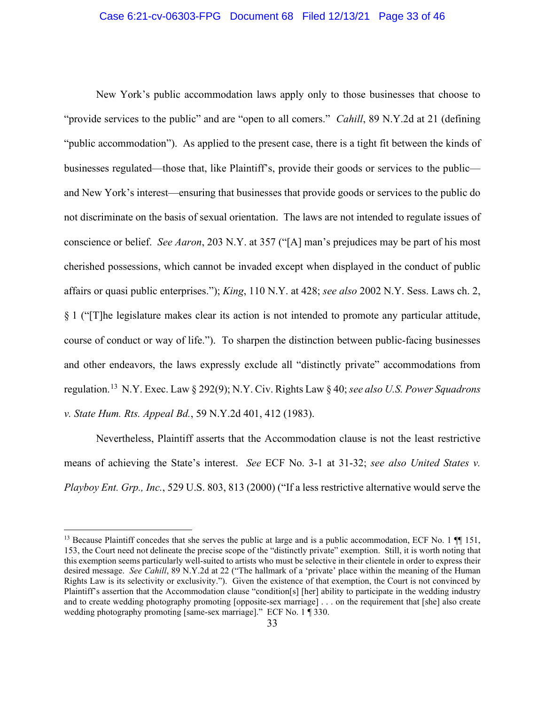### Case 6:21-cv-06303-FPG Document 68 Filed 12/13/21 Page 33 of 46

New York's public accommodation laws apply only to those businesses that choose to "provide services to the public" and are "open to all comers." *Cahill*, 89 N.Y.2d at 21 (defining "public accommodation"). As applied to the present case, there is a tight fit between the kinds of businesses regulated—those that, like Plaintiff's, provide their goods or services to the public and New York's interest—ensuring that businesses that provide goods or services to the public do not discriminate on the basis of sexual orientation. The laws are not intended to regulate issues of conscience or belief. *See Aaron*, 203 N.Y. at 357 ("[A] man's prejudices may be part of his most cherished possessions, which cannot be invaded except when displayed in the conduct of public affairs or quasi public enterprises."); *King*, 110 N.Y. at 428; *see also* 2002 N.Y. Sess. Laws ch. 2, § 1 ("[T]he legislature makes clear its action is not intended to promote any particular attitude, course of conduct or way of life."). To sharpen the distinction between public-facing businesses and other endeavors, the laws expressly exclude all "distinctly private" accommodations from regulation.[13](#page-32-0) N.Y. Exec. Law § 292(9); N.Y. Civ. Rights Law § 40; *see also U.S. Power Squadrons v. State Hum. Rts. Appeal Bd.*, 59 N.Y.2d 401, 412 (1983).

Nevertheless, Plaintiff asserts that the Accommodation clause is not the least restrictive means of achieving the State's interest. *See* ECF No. 3-1 at 31-32; *see also United States v. Playboy Ent. Grp., Inc.*, 529 U.S. 803, 813 (2000) ("If a less restrictive alternative would serve the

<span id="page-32-0"></span><sup>&</sup>lt;sup>13</sup> Because Plaintiff concedes that she serves the public at large and is a public accommodation, ECF No. 1  $\P$  151, 153, the Court need not delineate the precise scope of the "distinctly private" exemption. Still, it is worth noting that this exemption seems particularly well-suited to artists who must be selective in their clientele in order to express their desired message. *See Cahill*, 89 N.Y.2d at 22 ("The hallmark of a 'private' place within the meaning of the Human Rights Law is its selectivity or exclusivity."). Given the existence of that exemption, the Court is not convinced by Plaintiff's assertion that the Accommodation clause "condition[s] [her] ability to participate in the wedding industry and to create wedding photography promoting [opposite-sex marriage] . . . on the requirement that [she] also create wedding photography promoting [same-sex marriage]." ECF No. 1 ¶ 330.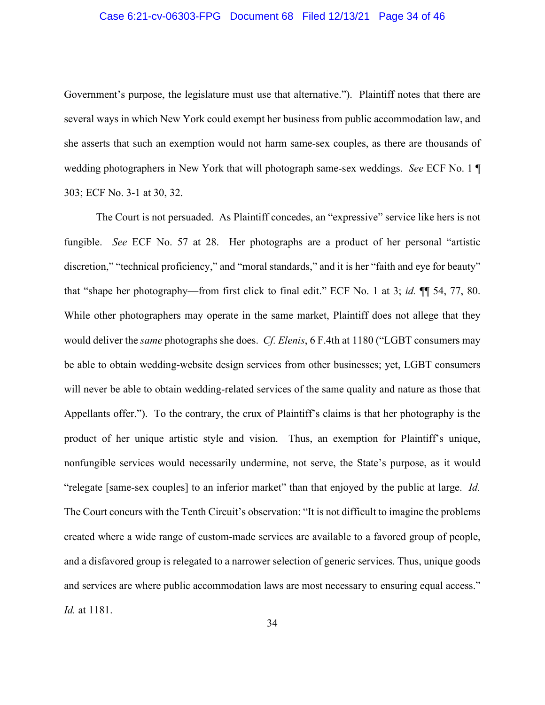## Case 6:21-cv-06303-FPG Document 68 Filed 12/13/21 Page 34 of 46

Government's purpose, the legislature must use that alternative."). Plaintiff notes that there are several ways in which New York could exempt her business from public accommodation law, and she asserts that such an exemption would not harm same-sex couples, as there are thousands of wedding photographers in New York that will photograph same-sex weddings. *See* ECF No. 1 ¶ 303; ECF No. 3-1 at 30, 32.

The Court is not persuaded. As Plaintiff concedes, an "expressive" service like hers is not fungible. *See* ECF No. 57 at 28. Her photographs are a product of her personal "artistic discretion," "technical proficiency," and "moral standards," and it is her "faith and eye for beauty" that "shape her photography—from first click to final edit." ECF No. 1 at 3; *id.* ¶¶ 54, 77, 80. While other photographers may operate in the same market, Plaintiff does not allege that they would deliver the *same* photographs she does. *Cf. Elenis*, 6 F.4th at 1180 ("LGBT consumers may be able to obtain wedding-website design services from other businesses; yet, LGBT consumers will never be able to obtain wedding-related services of the same quality and nature as those that Appellants offer."). To the contrary, the crux of Plaintiff's claims is that her photography is the product of her unique artistic style and vision. Thus, an exemption for Plaintiff's unique, nonfungible services would necessarily undermine, not serve, the State's purpose, as it would "relegate [same-sex couples] to an inferior market" than that enjoyed by the public at large. *Id.* The Court concurs with the Tenth Circuit's observation: "It is not difficult to imagine the problems created where a wide range of custom-made services are available to a favored group of people, and a disfavored group is relegated to a narrower selection of generic services. Thus, unique goods and services are where public accommodation laws are most necessary to ensuring equal access." *Id.* at 1181.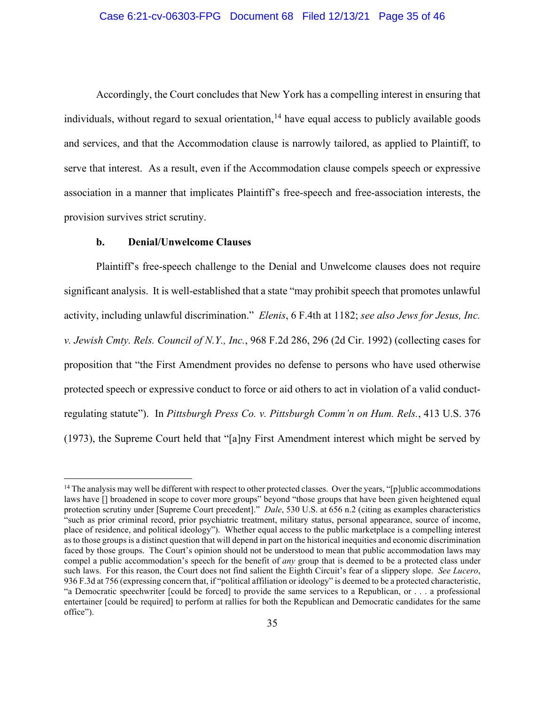## Case 6:21-cv-06303-FPG Document 68 Filed 12/13/21 Page 35 of 46

Accordingly, the Court concludes that New York has a compelling interest in ensuring that individuals, without regard to sexual orientation,  $14$  have equal access to publicly available goods and services, and that the Accommodation clause is narrowly tailored, as applied to Plaintiff, to serve that interest. As a result, even if the Accommodation clause compels speech or expressive association in a manner that implicates Plaintiff's free-speech and free-association interests, the provision survives strict scrutiny.

### **b. Denial/Unwelcome Clauses**

Plaintiff's free-speech challenge to the Denial and Unwelcome clauses does not require significant analysis. It is well-established that a state "may prohibit speech that promotes unlawful activity, including unlawful discrimination." *Elenis*, 6 F.4th at 1182; *see also Jews for Jesus, Inc. v. Jewish Cmty. Rels. Council of N.Y., Inc.*, 968 F.2d 286, 296 (2d Cir. 1992) (collecting cases for proposition that "the First Amendment provides no defense to persons who have used otherwise protected speech or expressive conduct to force or aid others to act in violation of a valid conductregulating statute"). In *Pittsburgh Press Co. v. Pittsburgh Comm'n on Hum. Rels.*, 413 U.S. 376 (1973), the Supreme Court held that "[a]ny First Amendment interest which might be served by

<span id="page-34-0"></span><sup>&</sup>lt;sup>14</sup> The analysis may well be different with respect to other protected classes. Over the years, "[p]ublic accommodations laws have  $\overline{[}$  broadened in scope to cover more groups" beyond "those groups that have been given heightened equal protection scrutiny under [Supreme Court precedent]." *Dale*, 530 U.S. at 656 n.2 (citing as examples characteristics "such as prior criminal record, prior psychiatric treatment, military status, personal appearance, source of income, place of residence, and political ideology"). Whether equal access to the public marketplace is a compelling interest as to those groups is a distinct question that will depend in part on the historical inequities and economic discrimination faced by those groups. The Court's opinion should not be understood to mean that public accommodation laws may compel a public accommodation's speech for the benefit of *any* group that is deemed to be a protected class under such laws. For this reason, the Court does not find salient the Eighth Circuit's fear of a slippery slope. *See Lucero*, 936 F.3d at 756 (expressing concern that, if "political affiliation or ideology" is deemed to be a protected characteristic, "a Democratic speechwriter [could be forced] to provide the same services to a Republican, or . . . a professional entertainer [could be required] to perform at rallies for both the Republican and Democratic candidates for the same office").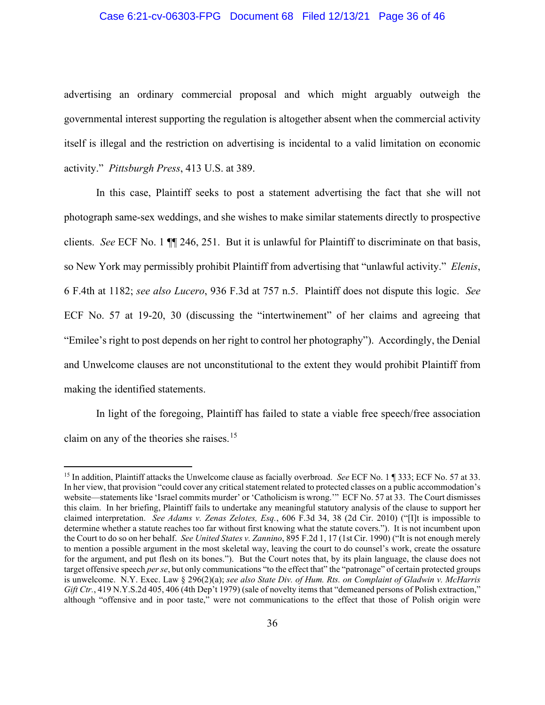## Case 6:21-cv-06303-FPG Document 68 Filed 12/13/21 Page 36 of 46

advertising an ordinary commercial proposal and which might arguably outweigh the governmental interest supporting the regulation is altogether absent when the commercial activity itself is illegal and the restriction on advertising is incidental to a valid limitation on economic activity." *Pittsburgh Press*, 413 U.S. at 389.

In this case, Plaintiff seeks to post a statement advertising the fact that she will not photograph same-sex weddings, and she wishes to make similar statements directly to prospective clients. *See* ECF No. 1 ¶¶ 246, 251. But it is unlawful for Plaintiff to discriminate on that basis, so New York may permissibly prohibit Plaintiff from advertising that "unlawful activity." *Elenis*, 6 F.4th at 1182; *see also Lucero*, 936 F.3d at 757 n.5. Plaintiff does not dispute this logic. *See*  ECF No. 57 at 19-20, 30 (discussing the "intertwinement" of her claims and agreeing that "Emilee's right to post depends on her right to control her photography"). Accordingly, the Denial and Unwelcome clauses are not unconstitutional to the extent they would prohibit Plaintiff from making the identified statements.

In light of the foregoing, Plaintiff has failed to state a viable free speech/free association claim on any of the theories she raises.[15](#page-35-0)

<span id="page-35-0"></span><sup>15</sup> In addition, Plaintiff attacks the Unwelcome clause as facially overbroad. *See* ECF No. 1 ¶ 333; ECF No. 57 at 33. In her view, that provision "could cover any critical statement related to protected classes on a public accommodation's website—statements like 'Israel commits murder' or 'Catholicism is wrong.'" ECF No. 57 at 33. The Court dismisses this claim. In her briefing, Plaintiff fails to undertake any meaningful statutory analysis of the clause to support her claimed interpretation. *See Adams v. Zenas Zelotes, Esq.*, 606 F.3d 34, 38 (2d Cir. 2010) ("[I]t is impossible to determine whether a statute reaches too far without first knowing what the statute covers."). It is not incumbent upon the Court to do so on her behalf. *See United States v. Zannino*, 895 F.2d 1, 17 (1st Cir. 1990) ("It is not enough merely to mention a possible argument in the most skeletal way, leaving the court to do counsel's work, create the ossature for the argument, and put flesh on its bones."). But the Court notes that, by its plain language, the clause does not target offensive speech *per se*, but only communications "to the effect that" the "patronage" of certain protected groups is unwelcome. N.Y. Exec. Law § 296(2)(a); *see also State Div. of Hum. Rts. on Complaint of Gladwin v. McHarris Gift Ctr.*, 419 N.Y.S.2d 405, 406 (4th Dep't 1979) (sale of novelty items that "demeaned persons of Polish extraction," although "offensive and in poor taste," were not communications to the effect that those of Polish origin were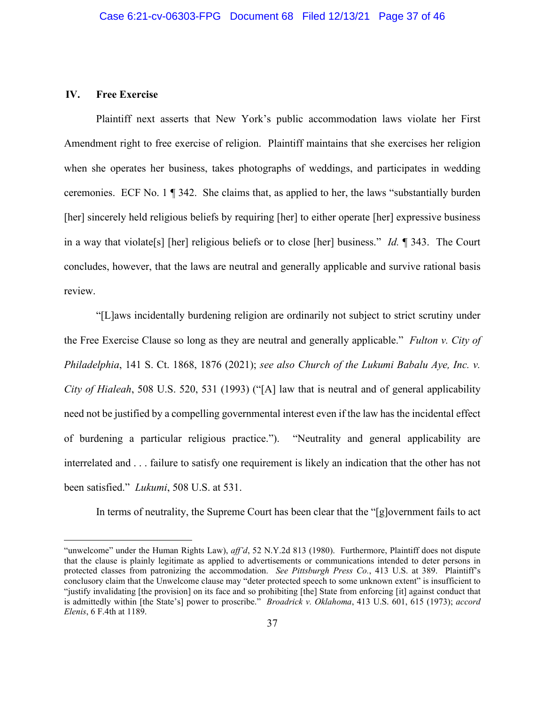# **IV. Free Exercise**

Plaintiff next asserts that New York's public accommodation laws violate her First Amendment right to free exercise of religion. Plaintiff maintains that she exercises her religion when she operates her business, takes photographs of weddings, and participates in wedding ceremonies. ECF No. 1 ¶ 342. She claims that, as applied to her, the laws "substantially burden [her] sincerely held religious beliefs by requiring [her] to either operate [her] expressive business in a way that violate[s] [her] religious beliefs or to close [her] business." *Id.* ¶ 343. The Court concludes, however, that the laws are neutral and generally applicable and survive rational basis review.

"[L]aws incidentally burdening religion are ordinarily not subject to strict scrutiny under the Free Exercise Clause so long as they are neutral and generally applicable." *Fulton v. City of Philadelphia*, 141 S. Ct. 1868, 1876 (2021); *see also Church of the Lukumi Babalu Aye, Inc. v. City of Hialeah*, 508 U.S. 520, 531 (1993) ("[A] law that is neutral and of general applicability need not be justified by a compelling governmental interest even if the law has the incidental effect of burdening a particular religious practice."). "Neutrality and general applicability are interrelated and . . . failure to satisfy one requirement is likely an indication that the other has not been satisfied." *Lukumi*, 508 U.S. at 531.

In terms of neutrality, the Supreme Court has been clear that the "[g]overnment fails to act

<sup>&</sup>quot;unwelcome" under the Human Rights Law), *aff'd*, 52 N.Y.2d 813 (1980). Furthermore, Plaintiff does not dispute that the clause is plainly legitimate as applied to advertisements or communications intended to deter persons in protected classes from patronizing the accommodation. *See Pittsburgh Press Co.*, 413 U.S. at 389. Plaintiff's conclusory claim that the Unwelcome clause may "deter protected speech to some unknown extent" is insufficient to "justify invalidating [the provision] on its face and so prohibiting [the] State from enforcing [it] against conduct that is admittedly within [the State's] power to proscribe." *Broadrick v. Oklahoma*, 413 U.S. 601, 615 (1973); *accord Elenis*, 6 F.4th at 1189.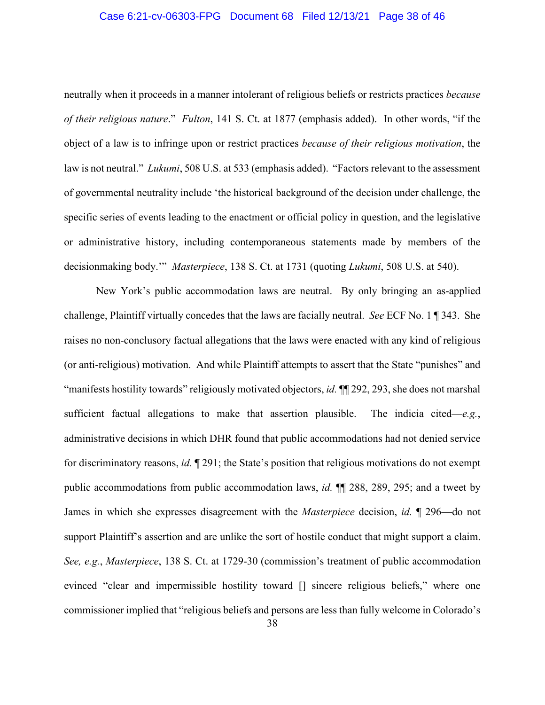## Case 6:21-cv-06303-FPG Document 68 Filed 12/13/21 Page 38 of 46

neutrally when it proceeds in a manner intolerant of religious beliefs or restricts practices *because of their religious nature*." *Fulton*, 141 S. Ct. at 1877 (emphasis added). In other words, "if the object of a law is to infringe upon or restrict practices *because of their religious motivation*, the law is not neutral." *Lukumi*, 508 U.S. at 533 (emphasis added). "Factors relevant to the assessment of governmental neutrality include 'the historical background of the decision under challenge, the specific series of events leading to the enactment or official policy in question, and the legislative or administrative history, including contemporaneous statements made by members of the decisionmaking body.'" *Masterpiece*, 138 S. Ct. at 1731 (quoting *Lukumi*, 508 U.S. at 540).

New York's public accommodation laws are neutral. By only bringing an as-applied challenge, Plaintiff virtually concedes that the laws are facially neutral. *See* ECF No. 1 ¶ 343. She raises no non-conclusory factual allegations that the laws were enacted with any kind of religious (or anti-religious) motivation. And while Plaintiff attempts to assert that the State "punishes" and "manifests hostility towards" religiously motivated objectors, *id.* ¶¶ 292, 293, she does not marshal sufficient factual allegations to make that assertion plausible. The indicia cited—*e.g.*, administrative decisions in which DHR found that public accommodations had not denied service for discriminatory reasons, *id.* ¶ 291; the State's position that religious motivations do not exempt public accommodations from public accommodation laws, *id.* ¶¶ 288, 289, 295; and a tweet by James in which she expresses disagreement with the *Masterpiece* decision, *id.* ¶ 296—do not support Plaintiff's assertion and are unlike the sort of hostile conduct that might support a claim. *See, e.g.*, *Masterpiece*, 138 S. Ct. at 1729-30 (commission's treatment of public accommodation evinced "clear and impermissible hostility toward [] sincere religious beliefs," where one commissioner implied that "religious beliefs and persons are less than fully welcome in Colorado's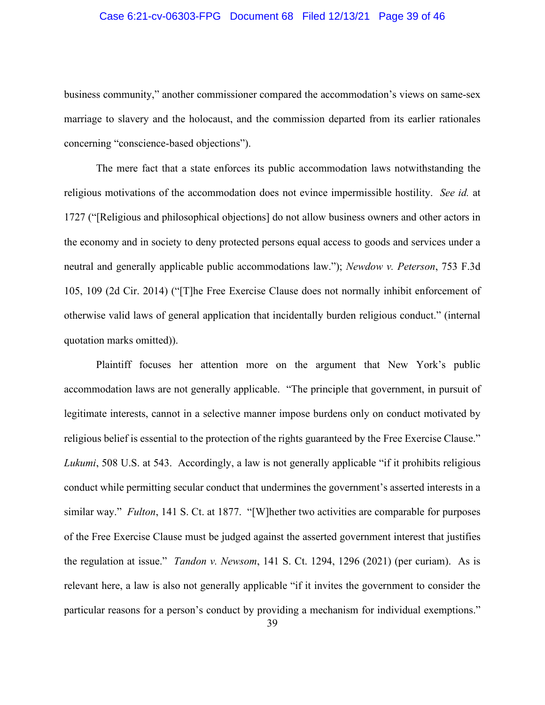## Case 6:21-cv-06303-FPG Document 68 Filed 12/13/21 Page 39 of 46

business community," another commissioner compared the accommodation's views on same-sex marriage to slavery and the holocaust, and the commission departed from its earlier rationales concerning "conscience-based objections").

The mere fact that a state enforces its public accommodation laws notwithstanding the religious motivations of the accommodation does not evince impermissible hostility. *See id.* at 1727 ("[Religious and philosophical objections] do not allow business owners and other actors in the economy and in society to deny protected persons equal access to goods and services under a neutral and generally applicable public accommodations law."); *Newdow v. Peterson*, 753 F.3d 105, 109 (2d Cir. 2014) ("[T]he Free Exercise Clause does not normally inhibit enforcement of otherwise valid laws of general application that incidentally burden religious conduct." (internal quotation marks omitted)).

Plaintiff focuses her attention more on the argument that New York's public accommodation laws are not generally applicable. "The principle that government, in pursuit of legitimate interests, cannot in a selective manner impose burdens only on conduct motivated by religious belief is essential to the protection of the rights guaranteed by the Free Exercise Clause." *Lukumi*, 508 U.S. at 543. Accordingly, a law is not generally applicable "if it prohibits religious conduct while permitting secular conduct that undermines the government's asserted interests in a similar way." *Fulton*, 141 S. Ct. at 1877. "[W]hether two activities are comparable for purposes of the Free Exercise Clause must be judged against the asserted government interest that justifies the regulation at issue." *Tandon v. Newsom*, 141 S. Ct. 1294, 1296 (2021) (per curiam). As is relevant here, a law is also not generally applicable "if it invites the government to consider the particular reasons for a person's conduct by providing a mechanism for individual exemptions."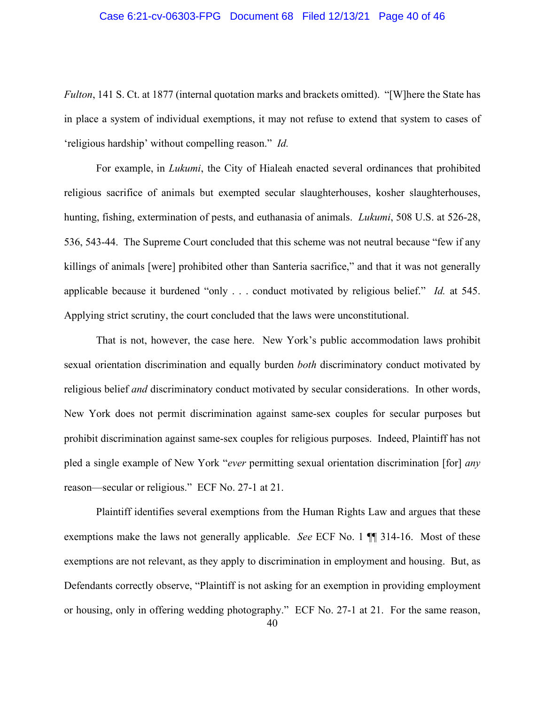## Case 6:21-cv-06303-FPG Document 68 Filed 12/13/21 Page 40 of 46

*Fulton*, 141 S. Ct. at 1877 (internal quotation marks and brackets omitted). "[W]here the State has in place a system of individual exemptions, it may not refuse to extend that system to cases of 'religious hardship' without compelling reason." *Id.*

For example, in *Lukumi*, the City of Hialeah enacted several ordinances that prohibited religious sacrifice of animals but exempted secular slaughterhouses, kosher slaughterhouses, hunting, fishing, extermination of pests, and euthanasia of animals. *Lukumi*, 508 U.S. at 526-28, 536, 543-44. The Supreme Court concluded that this scheme was not neutral because "few if any killings of animals [were] prohibited other than Santeria sacrifice," and that it was not generally applicable because it burdened "only . . . conduct motivated by religious belief." *Id.* at 545. Applying strict scrutiny, the court concluded that the laws were unconstitutional.

That is not, however, the case here. New York's public accommodation laws prohibit sexual orientation discrimination and equally burden *both* discriminatory conduct motivated by religious belief *and* discriminatory conduct motivated by secular considerations. In other words, New York does not permit discrimination against same-sex couples for secular purposes but prohibit discrimination against same-sex couples for religious purposes. Indeed, Plaintiff has not pled a single example of New York "*ever* permitting sexual orientation discrimination [for] *any* reason—secular or religious." ECF No. 27-1 at 21.

Plaintiff identifies several exemptions from the Human Rights Law and argues that these exemptions make the laws not generally applicable. *See* ECF No. 1 ¶¶ 314-16. Most of these exemptions are not relevant, as they apply to discrimination in employment and housing. But, as Defendants correctly observe, "Plaintiff is not asking for an exemption in providing employment or housing, only in offering wedding photography." ECF No. 27-1 at 21. For the same reason,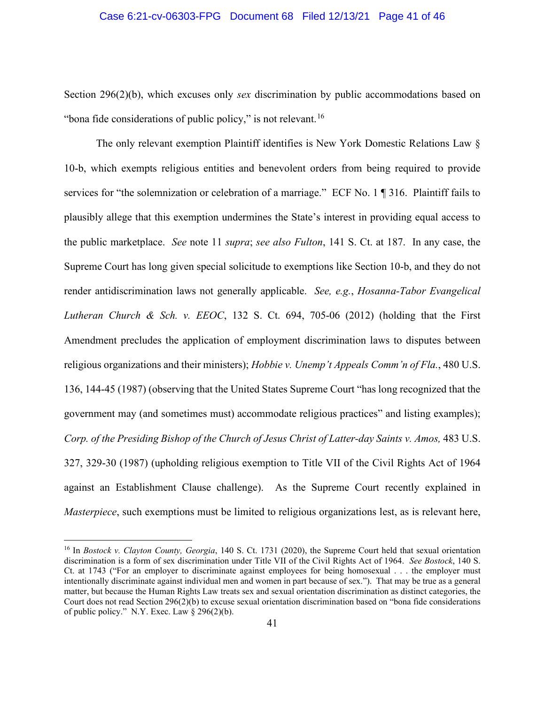### Case 6:21-cv-06303-FPG Document 68 Filed 12/13/21 Page 41 of 46

Section 296(2)(b), which excuses only *sex* discrimination by public accommodations based on "bona fide considerations of public policy," is not relevant.<sup>[16](#page-40-0)</sup>

The only relevant exemption Plaintiff identifies is New York Domestic Relations Law § 10-b, which exempts religious entities and benevolent orders from being required to provide services for "the solemnization or celebration of a marriage." ECF No. 1 ¶ 316. Plaintiff fails to plausibly allege that this exemption undermines the State's interest in providing equal access to the public marketplace. *See* note 11 *supra*; *see also Fulton*, 141 S. Ct. at 187. In any case, the Supreme Court has long given special solicitude to exemptions like Section 10-b, and they do not render antidiscrimination laws not generally applicable. *See, e.g.*, *Hosanna-Tabor Evangelical Lutheran Church & Sch. v. EEOC*, 132 S. Ct. 694, 705-06 (2012) (holding that the First Amendment precludes the application of employment discrimination laws to disputes between religious organizations and their ministers); *Hobbie v. Unemp't Appeals Comm'n of Fla.*, 480 U.S. 136, 144-45 (1987) (observing that the United States Supreme Court "has long recognized that the government may (and sometimes must) accommodate religious practices" and listing examples); *Corp. of the Presiding Bishop of the Church of Jesus Christ of Latter-day Saints v. Amos,* 483 U.S. 327, 329-30 (1987) (upholding religious exemption to Title VII of the Civil Rights Act of 1964 against an Establishment Clause challenge). As the Supreme Court recently explained in *Masterpiece*, such exemptions must be limited to religious organizations lest, as is relevant here,

<span id="page-40-0"></span><sup>16</sup> In *Bostock v. Clayton County, Georgia*, 140 S. Ct. 1731 (2020), the Supreme Court held that sexual orientation discrimination is a form of sex discrimination under Title VII of the Civil Rights Act of 1964. *See Bostock*, 140 S. Ct. at 1743 ("For an employer to discriminate against employees for being homosexual . . . the employer must intentionally discriminate against individual men and women in part because of sex."). That may be true as a general matter, but because the Human Rights Law treats sex and sexual orientation discrimination as distinct categories, the Court does not read Section 296(2)(b) to excuse sexual orientation discrimination based on "bona fide considerations of public policy." N.Y. Exec. Law  $\S$  296(2)(b).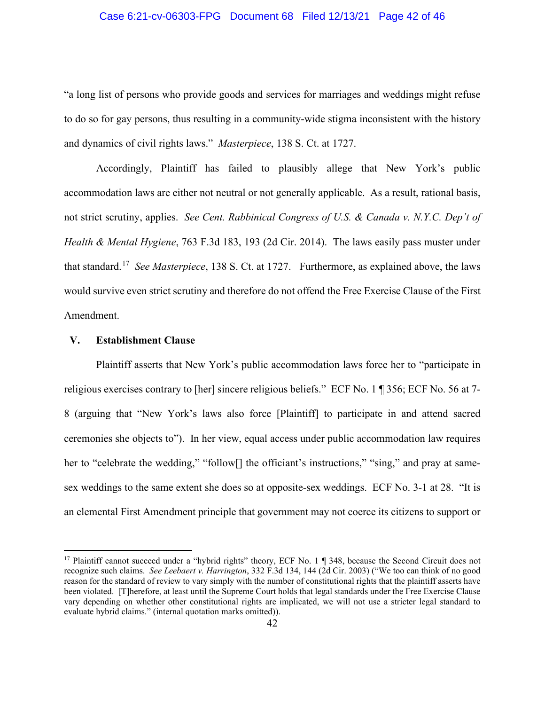## Case 6:21-cv-06303-FPG Document 68 Filed 12/13/21 Page 42 of 46

"a long list of persons who provide goods and services for marriages and weddings might refuse to do so for gay persons, thus resulting in a community-wide stigma inconsistent with the history and dynamics of civil rights laws." *Masterpiece*, 138 S. Ct. at 1727.

Accordingly, Plaintiff has failed to plausibly allege that New York's public accommodation laws are either not neutral or not generally applicable. As a result, rational basis, not strict scrutiny, applies. *See Cent. Rabbinical Congress of U.S. & Canada v. N.Y.C. Dep't of Health & Mental Hygiene*, 763 F.3d 183, 193 (2d Cir. 2014). The laws easily pass muster under that standard.[17](#page-41-0) *See Masterpiece*, 138 S. Ct. at 1727. Furthermore, as explained above, the laws would survive even strict scrutiny and therefore do not offend the Free Exercise Clause of the First Amendment.

### **V. Establishment Clause**

Plaintiff asserts that New York's public accommodation laws force her to "participate in religious exercises contrary to [her] sincere religious beliefs." ECF No. 1 ¶ 356; ECF No. 56 at 7- 8 (arguing that "New York's laws also force [Plaintiff] to participate in and attend sacred ceremonies she objects to"). In her view, equal access under public accommodation law requires her to "celebrate the wedding," "follow<sup>[]</sup> the officiant's instructions," "sing," and pray at samesex weddings to the same extent she does so at opposite-sex weddings. ECF No. 3-1 at 28. "It is an elemental First Amendment principle that government may not coerce its citizens to support or

<span id="page-41-0"></span><sup>&</sup>lt;sup>17</sup> Plaintiff cannot succeed under a "hybrid rights" theory, ECF No. 1 ¶ 348, because the Second Circuit does not recognize such claims. *See Leebaert v. Harrington*, 332 F.3d 134, 144 (2d Cir. 2003) ("We too can think of no good reason for the standard of review to vary simply with the number of constitutional rights that the plaintiff asserts have been violated. [T]herefore, at least until the Supreme Court holds that legal standards under the Free Exercise Clause vary depending on whether other constitutional rights are implicated, we will not use a stricter legal standard to evaluate hybrid claims." (internal quotation marks omitted)).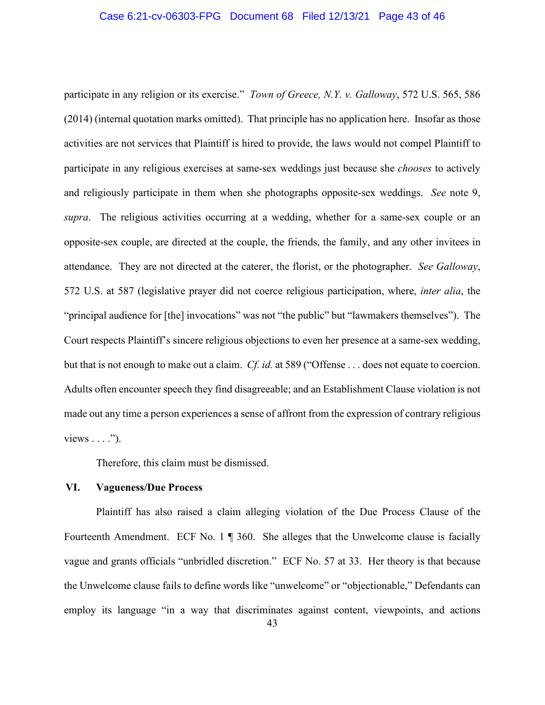### Case 6:21-cv-06303-FPG Document 68 Filed 12/13/21 Page 43 of 46

participate in any religion or its exercise." *Town of Greece, N.Y. v. Galloway*, 572 U.S. 565, 586 (2014) (internal quotation marks omitted). That principle has no application here. Insofar as those activities are not services that Plaintiff is hired to provide, the laws would not compel Plaintiff to participate in any religious exercises at same-sex weddings just because she *chooses* to actively and religiously participate in them when she photographs opposite-sex weddings. *See* note 9, *supra*. The religious activities occurring at a wedding, whether for a same-sex couple or an opposite-sex couple, are directed at the couple, the friends, the family, and any other invitees in attendance. They are not directed at the caterer, the florist, or the photographer. *See Galloway*, 572 U.S. at 587 (legislative prayer did not coerce religious participation, where, *inter alia*, the "principal audience for [the] invocations" was not "the public" but "lawmakers themselves"). The Court respects Plaintiff's sincere religious objections to even her presence at a same-sex wedding, but that is not enough to make out a claim. *Cf. id.* at 589 ("Offense . . . does not equate to coercion. Adults often encounter speech they find disagreeable; and an Establishment Clause violation is not made out any time a person experiences a sense of affront from the expression of contrary religious views  $\dots$ .").

Therefore, this claim must be dismissed.

## **VI. Vagueness/Due Process**

Plaintiff has also raised a claim alleging violation of the Due Process Clause of the Fourteenth Amendment. ECF No. 1 ¶ 360. She alleges that the Unwelcome clause is facially vague and grants officials "unbridled discretion." ECF No. 57 at 33. Her theory is that because the Unwelcome clause fails to define words like "unwelcome" or "objectionable," Defendants can employ its language "in a way that discriminates against content, viewpoints, and actions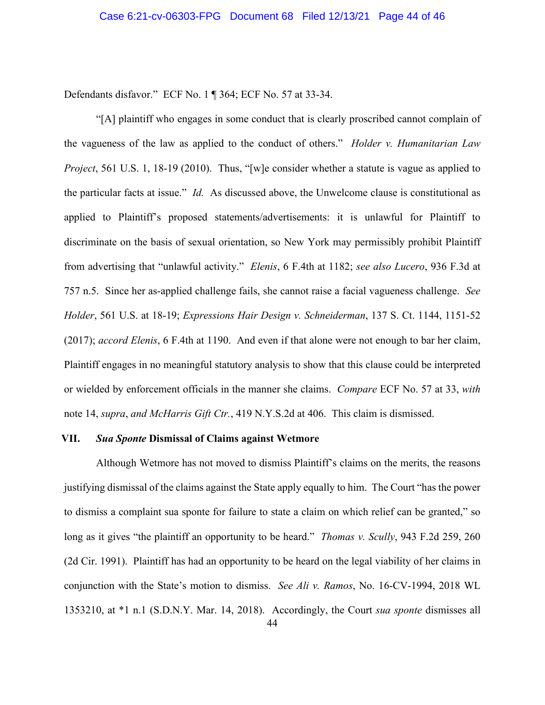Defendants disfavor." ECF No. 1 ¶ 364; ECF No. 57 at 33-34.

"[A] plaintiff who engages in some conduct that is clearly proscribed cannot complain of the vagueness of the law as applied to the conduct of others." *Holder v. Humanitarian Law Project*, 561 U.S. 1, 18-19 (2010). Thus, "[w]e consider whether a statute is vague as applied to the particular facts at issue." *Id.* As discussed above, the Unwelcome clause is constitutional as applied to Plaintiff's proposed statements/advertisements: it is unlawful for Plaintiff to discriminate on the basis of sexual orientation, so New York may permissibly prohibit Plaintiff from advertising that "unlawful activity." *Elenis*, 6 F.4th at 1182; *see also Lucero*, 936 F.3d at 757 n.5. Since her as-applied challenge fails, she cannot raise a facial vagueness challenge. *See Holder*, 561 U.S. at 18-19; *Expressions Hair Design v. Schneiderman*, 137 S. Ct. 1144, 1151-52 (2017); *accord Elenis*, 6 F.4th at 1190. And even if that alone were not enough to bar her claim, Plaintiff engages in no meaningful statutory analysis to show that this clause could be interpreted or wielded by enforcement officials in the manner she claims. *Compare* ECF No. 57 at 33, *with*  note 14, *supra*, *and McHarris Gift Ctr.*, 419 N.Y.S.2d at 406. This claim is dismissed.

### **VII.** *Sua Sponte* **Dismissal of Claims against Wetmore**

Although Wetmore has not moved to dismiss Plaintiff's claims on the merits, the reasons justifying dismissal of the claims against the State apply equally to him. The Court "has the power to dismiss a complaint sua sponte for failure to state a claim on which relief can be granted," so long as it gives "the plaintiff an opportunity to be heard." *Thomas v. Scully*, 943 F.2d 259, 260 (2d Cir. 1991). Plaintiff has had an opportunity to be heard on the legal viability of her claims in conjunction with the State's motion to dismiss. *See Ali v. Ramos*, No. 16-CV-1994, 2018 WL 1353210, at \*1 n.1 (S.D.N.Y. Mar. 14, 2018). Accordingly, the Court *sua sponte* dismisses all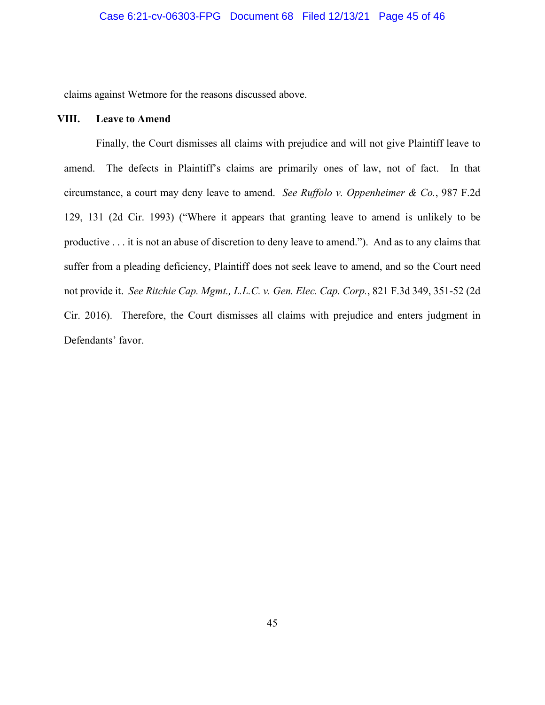claims against Wetmore for the reasons discussed above.

## **VIII. Leave to Amend**

Finally, the Court dismisses all claims with prejudice and will not give Plaintiff leave to amend. The defects in Plaintiff's claims are primarily ones of law, not of fact. In that circumstance, a court may deny leave to amend. *See Ruffolo v. Oppenheimer & Co.*, 987 F.2d 129, 131 (2d Cir. 1993) ("Where it appears that granting leave to amend is unlikely to be productive . . . it is not an abuse of discretion to deny leave to amend."). And as to any claims that suffer from a pleading deficiency, Plaintiff does not seek leave to amend, and so the Court need not provide it. *See Ritchie Cap. Mgmt., L.L.C. v. Gen. Elec. Cap. Corp.*, 821 F.3d 349, 351-52 (2d Cir. 2016). Therefore, the Court dismisses all claims with prejudice and enters judgment in Defendants' favor.